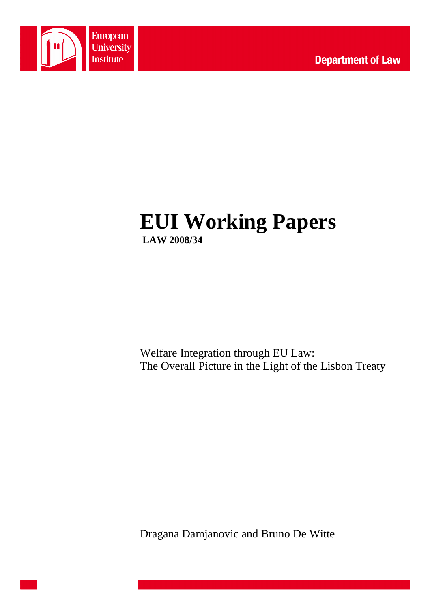

# **EUI Working Papers LAW 2008/34**

Welfare Integration through EU Law: The Overall Picture in the Light of the Lisbon Treaty

Dragana Damjanovic and Bruno De Witte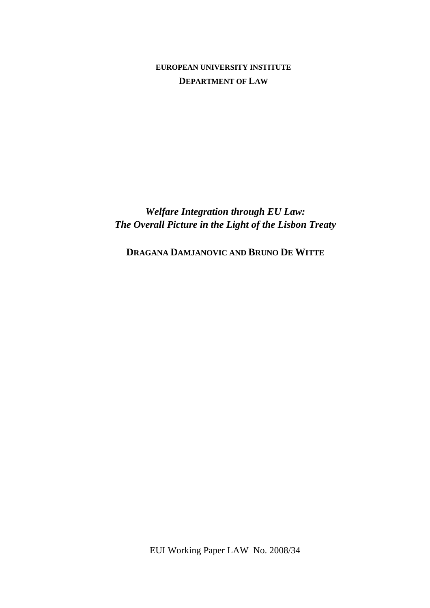**EUROPEAN UNIVERSITY INSTITUTE DEPARTMENT OF LAW**

*Welfare Integration through EU Law: The Overall Picture in the Light of the Lisbon Treaty* 

**DRAGANA DAMJANOVIC AND BRUNO DE WITTE**

EUI Working Paper LAW No. 2008/34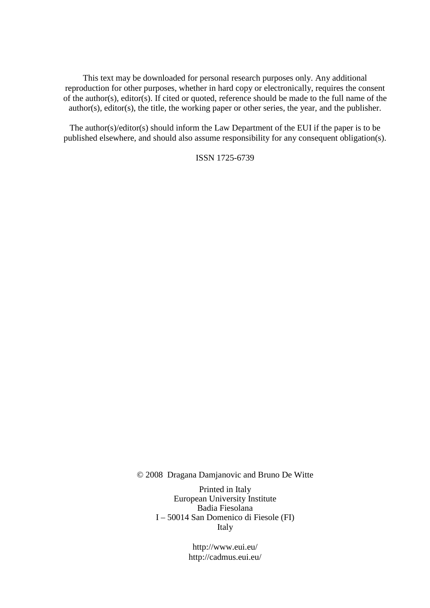This text may be downloaded for personal research purposes only. Any additional reproduction for other purposes, whether in hard copy or electronically, requires the consent of the author(s), editor(s). If cited or quoted, reference should be made to the full name of the author(s), editor(s), the title, the working paper or other series, the year, and the publisher.

The author(s)/editor(s) should inform the Law Department of the EUI if the paper is to be published elsewhere, and should also assume responsibility for any consequent obligation(s).

ISSN 1725-6739

© 2008 Dragana Damjanovic and Bruno De Witte

Printed in Italy European University Institute Badia Fiesolana I – 50014 San Domenico di Fiesole (FI) Italy

> http://www.eui.eu/ http://cadmus.eui.eu/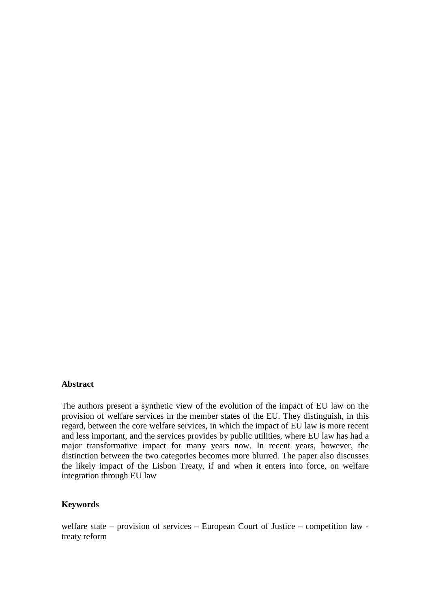#### **Abstract**

The authors present a synthetic view of the evolution of the impact of EU law on the provision of welfare services in the member states of the EU. They distinguish, in this regard, between the core welfare services, in which the impact of EU law is more recent and less important, and the services provides by public utilities, where EU law has had a major transformative impact for many years now. In recent years, however, the distinction between the two categories becomes more blurred. The paper also discusses the likely impact of the Lisbon Treaty, if and when it enters into force, on welfare integration through EU law

#### **Keywords**

welfare state – provision of services – European Court of Justice – competition law treaty reform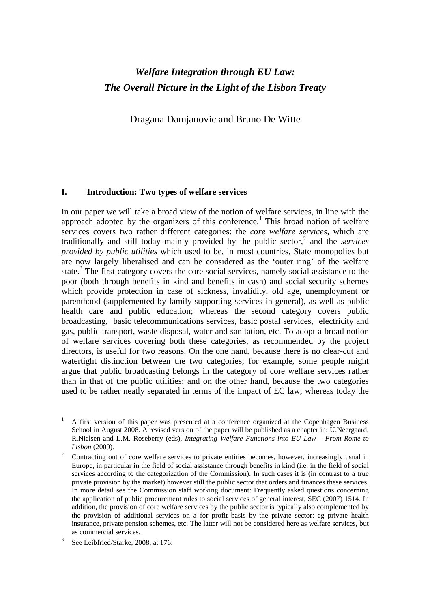# *Welfare Integration through EU Law: The Overall Picture in the Light of the Lisbon Treaty*

Dragana Damjanovic and Bruno De Witte

#### **I. Introduction: Two types of welfare services**

In our paper we will take a broad view of the notion of welfare services, in line with the approach adopted by the organizers of this conference.<sup>1</sup> This broad notion of welfare services covers two rather different categories: the *core welfare services*, which are traditionally and still today mainly provided by the public sector,<sup>2</sup> and the *services provided by public utilities* which used to be, in most countries, State monopolies but are now largely liberalised and can be considered as the 'outer ring' of the welfare state.<sup>3</sup> The first category covers the core social services, namely social assistance to the poor (both through benefits in kind and benefits in cash) and social security schemes which provide protection in case of sickness, invalidity, old age, unemployment or parenthood (supplemented by family-supporting services in general), as well as public health care and public education; whereas the second category covers public broadcasting, basic telecommunications services, basic postal services, electricity and gas, public transport, waste disposal, water and sanitation, etc. To adopt a broad notion of welfare services covering both these categories, as recommended by the project directors, is useful for two reasons. On the one hand, because there is no clear-cut and watertight distinction between the two categories; for example, some people might argue that public broadcasting belongs in the category of core welfare services rather than in that of the public utilities; and on the other hand, because the two categories used to be rather neatly separated in terms of the impact of EC law, whereas today the

<sup>1</sup> A first version of this paper was presented at a conference organized at the Copenhagen Business School in August 2008. A revised version of the paper will be published as a chapter in: U.Neergaard, R.Nielsen and L.M. Roseberry (eds), *Integrating Welfare Functions into EU Law – From Rome to Lisbon* (2009)*.* 

<sup>2</sup> Contracting out of core welfare services to private entities becomes, however, increasingly usual in Europe, in particular in the field of social assistance through benefits in kind (i.e. in the field of social services according to the categorization of the Commission). In such cases it is (in contrast to a true private provision by the market) however still the public sector that orders and finances these services. In more detail see the Commission staff working document: Frequently asked questions concerning the application of public procurement rules to social services of general interest, SEC (2007) 1514. In addition, the provision of core welfare services by the public sector is typically also complemented by the provision of additional services on a for profit basis by the private sector: eg private health insurance, private pension schemes, etc. The latter will not be considered here as welfare services, but as commercial services.

<sup>3</sup> See Leibfried/Starke, 2008, at 176.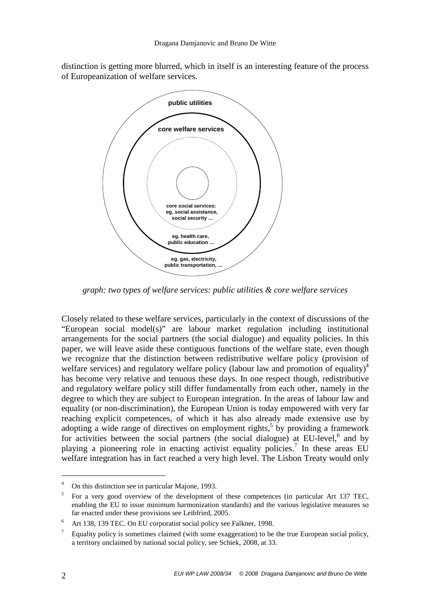distinction is getting more blurred, which in itself is an interesting feature of the process of Europeanization of welfare services.



*graph: two types of welfare services: public utilities & core welfare services* 

Closely related to these welfare services, particularly in the context of discussions of the "European social model(s)" are labour market regulation including institutional arrangements for the social partners (the social dialogue) and equality policies. In this paper, we will leave aside these contiguous functions of the welfare state, even though we recognize that the distinction between redistributive welfare policy (provision of welfare services) and regulatory welfare policy (labour law and promotion of equality)<sup>4</sup> has become very relative and tenuous these days. In one respect though, redistributive and regulatory welfare policy still differ fundamentally from each other, namely in the degree to which they are subject to European integration. In the areas of labour law and equality (or non-discrimination), the European Union is today empowered with very far reaching explicit competences, of which it has also already made extensive use by adopting a wide range of directives on employment rights,<sup>5</sup> by providing a framework for activities between the social partners (the social dialogue) at EU-level,<sup>6</sup> and by playing a pioneering role in enacting activist equality policies.<sup>7</sup> In these areas EU welfare integration has in fact reached a very high level. The Lisbon Treaty would only

<sup>4</sup> On this distinction see in particular Majone, 1993.

<sup>5</sup> For a very good overview of the development of these competences (in particular Art 137 TEC, enabling the EU to issue minimum harmonization standards) and the various legislative measures so far enacted under these provisions see Leibfried, 2005.

<sup>6</sup> Art 138, 139 TEC. On EU corporatist social policy see Falkner, 1998.

<sup>7</sup> Equality policy is sometimes claimed (with some exaggeration) to be the true European social policy, a territory unclaimed by national social policy, see Schiek, 2008, at 33.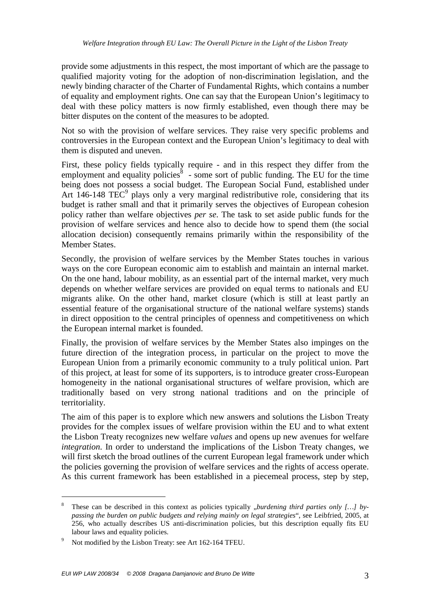provide some adjustments in this respect, the most important of which are the passage to qualified majority voting for the adoption of non-discrimination legislation, and the newly binding character of the Charter of Fundamental Rights, which contains a number of equality and employment rights. One can say that the European Union's legitimacy to deal with these policy matters is now firmly established, even though there may be bitter disputes on the content of the measures to be adopted.

Not so with the provision of welfare services. They raise very specific problems and controversies in the European context and the European Union's legitimacy to deal with them is disputed and uneven.

First, these policy fields typically require - and in this respect they differ from the employment and equality policies  $\delta$  - some sort of public funding. The EU for the time being does not possess a social budget. The European Social Fund, established under Art  $146-148$  TEC<sup>9</sup> plays only a very marginal redistributive role, considering that its budget is rather small and that it primarily serves the objectives of European cohesion policy rather than welfare objectives *per se*. The task to set aside public funds for the provision of welfare services and hence also to decide how to spend them (the social allocation decision) consequently remains primarily within the responsibility of the Member States.

Secondly, the provision of welfare services by the Member States touches in various ways on the core European economic aim to establish and maintain an internal market. On the one hand, labour mobility, as an essential part of the internal market, very much depends on whether welfare services are provided on equal terms to nationals and EU migrants alike. On the other hand, market closure (which is still at least partly an essential feature of the organisational structure of the national welfare systems) stands in direct opposition to the central principles of openness and competitiveness on which the European internal market is founded.

Finally, the provision of welfare services by the Member States also impinges on the future direction of the integration process, in particular on the project to move the European Union from a primarily economic community to a truly political union. Part of this project, at least for some of its supporters, is to introduce greater cross-European homogeneity in the national organisational structures of welfare provision, which are traditionally based on very strong national traditions and on the principle of territoriality.

The aim of this paper is to explore which new answers and solutions the Lisbon Treaty provides for the complex issues of welfare provision within the EU and to what extent the Lisbon Treaty recognizes new welfare *values* and opens up new avenues for welfare *integration*. In order to understand the implications of the Lisbon Treaty changes, we will first sketch the broad outlines of the current European legal framework under which the policies governing the provision of welfare services and the rights of access operate. As this current framework has been established in a piecemeal process, step by step,

<sup>8</sup> These can be described in this context as policies typically *"burdening third parties only [...]* by*passing the burden on public budgets and relying mainly on legal strategies*", see Leibfried, 2005, at 256, who actually describes US anti-discrimination policies, but this description equally fits EU labour laws and equality policies.

<sup>9</sup> Not modified by the Lisbon Treaty: see Art 162-164 TFEU.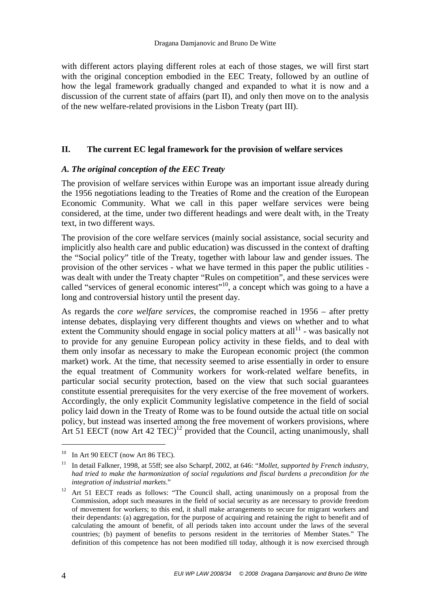with different actors playing different roles at each of those stages, we will first start with the original conception embodied in the EEC Treaty, followed by an outline of how the legal framework gradually changed and expanded to what it is now and a discussion of the current state of affairs (part II), and only then move on to the analysis of the new welfare-related provisions in the Lisbon Treaty (part III).

### **II. The current EC legal framework for the provision of welfare services**

#### *A. The original conception of the EEC Treaty*

The provision of welfare services within Europe was an important issue already during the 1956 negotiations leading to the Treaties of Rome and the creation of the European Economic Community. What we call in this paper welfare services were being considered, at the time, under two different headings and were dealt with, in the Treaty text, in two different ways.

The provision of the core welfare services (mainly social assistance, social security and implicitly also health care and public education) was discussed in the context of drafting the "Social policy" title of the Treaty, together with labour law and gender issues. The provision of the other services - what we have termed in this paper the public utilities was dealt with under the Treaty chapter "Rules on competition", and these services were called "services of general economic interest"<sup>10</sup>, a concept which was going to a have a long and controversial history until the present day.

As regards the *core welfare services*, the compromise reached in 1956 – after pretty intense debates, displaying very different thoughts and views on whether and to what extent the Community should engage in social policy matters at  $all<sup>11</sup>$  - was basically not to provide for any genuine European policy activity in these fields, and to deal with them only insofar as necessary to make the European economic project (the common market) work. At the time, that necessity seemed to arise essentially in order to ensure the equal treatment of Community workers for work-related welfare benefits, in particular social security protection, based on the view that such social guarantees constitute essential prerequisites for the very exercise of the free movement of workers. Accordingly, the only explicit Community legislative competence in the field of social policy laid down in the Treaty of Rome was to be found outside the actual title on social policy, but instead was inserted among the free movement of workers provisions, where Art 51 EECT (now Art 42 TEC)<sup>12</sup> provided that the Council, acting unanimously, shall

 $10$  In Art 90 EECT (now Art 86 TEC).

<sup>11</sup> In detail Falkner, 1998, at 55ff; see also Scharpf*,* 2002, at 646: "*Mollet, supported by French industry, had tried to make the harmonization of social regulations and fiscal burdens a precondition for the integration of industrial markets*."

<sup>&</sup>lt;sup>12</sup> Art 51 EECT reads as follows: "The Council shall, acting unanimously on a proposal from the Commission, adopt such measures in the field of social security as are necessary to provide freedom of movement for workers; to this end, it shall make arrangements to secure for migrant workers and their dependants: (a) aggregation, for the purpose of acquiring and retaining the right to benefit and of calculating the amount of benefit, of all periods taken into account under the laws of the several countries; (b) payment of benefits to persons resident in the territories of Member States." The definition of this competence has not been modified till today, although it is now exercised through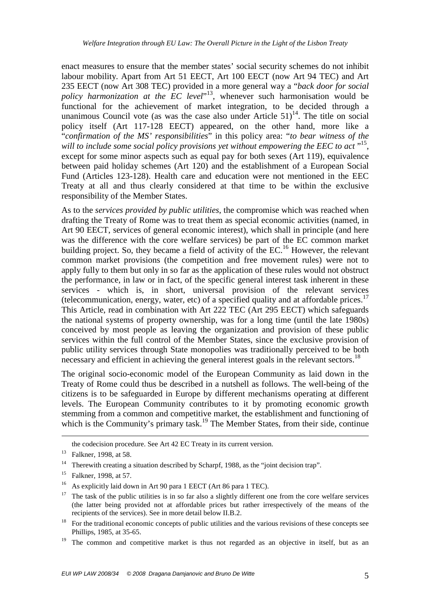enact measures to ensure that the member states' social security schemes do not inhibit labour mobility. Apart from Art 51 EECT, Art 100 EECT (now Art 94 TEC) and Art 235 EECT (now Art 308 TEC) provided in a more general way a "*back door for social policy harmonization at the EC level*" <sup>13</sup>, whenever such harmonisation would be functional for the achievement of market integration, to be decided through a unanimous Council vote (as was the case also under Article  $51$ )<sup>14</sup>. The title on social policy itself (Art 117-128 EECT) appeared, on the other hand, more like a "*confirmation of the MS' responsibilities*" in this policy area: "*to bear witness of the*  will to include some social policy provisions yet without empowering the EEC to act "<sup>15</sup>, except for some minor aspects such as equal pay for both sexes (Art 119), equivalence between paid holiday schemes (Art 120) and the establishment of a European Social Fund (Articles 123-128). Health care and education were not mentioned in the EEC Treaty at all and thus clearly considered at that time to be within the exclusive responsibility of the Member States.

As to the *services provided by public utilities*, the compromise which was reached when drafting the Treaty of Rome was to treat them as special economic activities (named, in Art 90 EECT, services of general economic interest), which shall in principle (and here was the difference with the core welfare services) be part of the EC common market building project. So, they became a field of activity of the  $EC<sup>16</sup>$  However, the relevant common market provisions (the competition and free movement rules) were not to apply fully to them but only in so far as the application of these rules would not obstruct the performance, in law or in fact, of the specific general interest task inherent in these services - which is, in short, universal provision of the relevant services (telecommunication, energy, water, etc) of a specified quality and at affordable prices.<sup>17</sup> This Article, read in combination with Art 222 TEC (Art 295 EECT) which safeguards the national systems of property ownership, was for a long time (until the late 1980s) conceived by most people as leaving the organization and provision of these public services within the full control of the Member States, since the exclusive provision of public utility services through State monopolies was traditionally perceived to be both necessary and efficient in achieving the general interest goals in the relevant sectors.<sup>18</sup>

The original socio-economic model of the European Community as laid down in the Treaty of Rome could thus be described in a nutshell as follows. The well-being of the citizens is to be safeguarded in Europe by different mechanisms operating at different levels. The European Community contributes to it by promoting economic growth stemming from a common and competitive market, the establishment and functioning of which is the Community's primary task.<sup>19</sup> The Member States, from their side, continue

<u>.</u>

the codecision procedure. See Art 42 EC Treaty in its current version.

<sup>&</sup>lt;sup>13</sup> Falkner, 1998, at 58.

<sup>&</sup>lt;sup>14</sup> Therewith creating a situation described by Scharpf, 1988, as the "joint decision trap".

<sup>&</sup>lt;sup>15</sup> Falkner, 1998, at 57.

<sup>&</sup>lt;sup>16</sup> As explicitly laid down in Art 90 para 1 EECT (Art 86 para 1 TEC).

<sup>&</sup>lt;sup>17</sup> The task of the public utilities is in so far also a slightly different one from the core welfare services (the latter being provided not at affordable prices but rather irrespectively of the means of the recipients of the services). See in more detail below II.B.2.

<sup>&</sup>lt;sup>18</sup> For the traditional economic concepts of public utilities and the various revisions of these concepts see Phillips, 1985, at 35-65.

<sup>&</sup>lt;sup>19</sup> The common and competitive market is thus not regarded as an objective in itself, but as an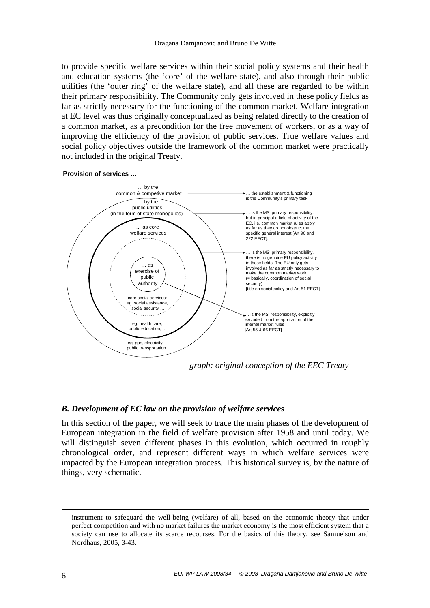to provide specific welfare services within their social policy systems and their health and education systems (the 'core' of the welfare state), and also through their public utilities (the 'outer ring' of the welfare state), and all these are regarded to be within their primary responsibility. The Community only gets involved in these policy fields as far as strictly necessary for the functioning of the common market. Welfare integration at EC level was thus originally conceptualized as being related directly to the creation of a common market, as a precondition for the free movement of workers, or as a way of improving the efficiency of the provision of public services. True welfare values and social policy objectives outside the framework of the common market were practically not included in the original Treaty.





#### *B. Development of EC law on the provision of welfare services*

In this section of the paper, we will seek to trace the main phases of the development of European integration in the field of welfare provision after 1958 and until today. We will distinguish seven different phases in this evolution, which occurred in roughly chronological order, and represent different ways in which welfare services were impacted by the European integration process. This historical survey is, by the nature of things, very schematic.

<u>.</u>

instrument to safeguard the well-being (welfare) of all, based on the economic theory that under perfect competition and with no market failures the market economy is the most efficient system that a society can use to allocate its scarce recourses. For the basics of this theory, see Samuelson and Nordhaus, 2005, 3-43.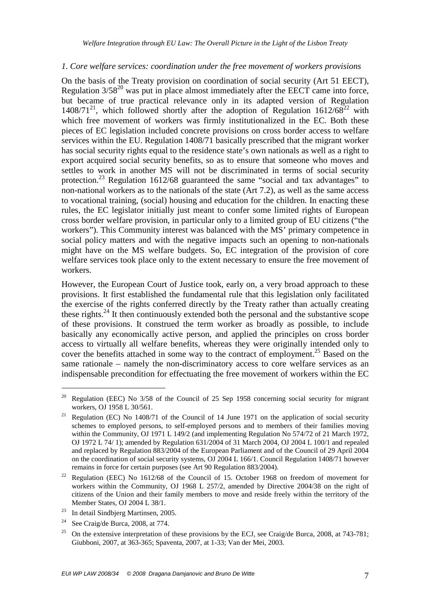#### *1. Core welfare services: coordination under the free movement of workers provisions*

On the basis of the Treaty provision on coordination of social security (Art 51 EECT), Regulation  $3/58^{20}$  was put in place almost immediately after the EECT came into force, but became of true practical relevance only in its adapted version of Regulation  $1408/71^{21}$ , which followed shortly after the adoption of Regulation  $1612/68^{22}$  with which free movement of workers was firmly institutionalized in the EC. Both these pieces of EC legislation included concrete provisions on cross border access to welfare services within the EU. Regulation 1408/71 basically prescribed that the migrant worker has social security rights equal to the residence state's own nationals as well as a right to export acquired social security benefits, so as to ensure that someone who moves and settles to work in another MS will not be discriminated in terms of social security protection.<sup>23</sup> Regulation 1612/68 guaranteed the same "social and tax advantages" to non-national workers as to the nationals of the state (Art 7.2), as well as the same access to vocational training, (social) housing and education for the children. In enacting these rules, the EC legislator initially just meant to confer some limited rights of European cross border welfare provision, in particular only to a limited group of EU citizens ("the workers"). This Community interest was balanced with the MS' primary competence in social policy matters and with the negative impacts such an opening to non-nationals might have on the MS welfare budgets. So, EC integration of the provision of core welfare services took place only to the extent necessary to ensure the free movement of workers.

However, the European Court of Justice took, early on, a very broad approach to these provisions. It first established the fundamental rule that this legislation only facilitated the exercise of the rights conferred directly by the Treaty rather than actually creating these rights.<sup>24</sup> It then continuously extended both the personal and the substantive scope of these provisions. It construed the term worker as broadly as possible, to include basically any economically active person, and applied the principles on cross border access to virtually all welfare benefits, whereas they were originally intended only to cover the benefits attached in some way to the contract of employment.<sup>25</sup> Based on the same rationale – namely the non-discriminatory access to core welfare services as an indispensable precondition for effectuating the free movement of workers within the EC

<sup>&</sup>lt;sup>20</sup> Regulation (EEC) No  $3/58$  of the Council of 25 Sep 1958 concerning social security for migrant workers, OJ 1958 L 30/561.

<sup>&</sup>lt;sup>21</sup> Regulation (EC) No 1408/71 of the Council of 14 June 1971 on the application of social security schemes to employed persons, to self-employed persons and to members of their families moving within the Community, OJ 1971 L 149/2 (and implementing Regulation No 574/72 of 21 March 1972, OJ 1972 L 74/ 1); amended by Regulation 631/2004 of 31 March 2004, OJ 2004 L 100/1 and repealed and replaced by Regulation 883/2004 of the European Parliament and of the Council of 29 April 2004 on the coordination of social security systems, OJ 2004 L 166/1. Council Regulation 1408/71 however remains in force for certain purposes (see Art 90 Regulation 883/2004).

<sup>&</sup>lt;sup>22</sup> Regulation (EEC) No 1612/68 of the Council of 15. October 1968 on freedom of movement for workers within the Community, OJ 1968 L 257/2, amended by Directive 2004/38 on the right of citizens of the Union and their family members to move and reside freely within the territory of the Member States, OJ 2004 L 38/1.

<sup>&</sup>lt;sup>23</sup> In detail Sindbierg Martinsen, 2005.

<sup>&</sup>lt;sup>24</sup> See Craig/de Burca, 2008, at 774.

<sup>&</sup>lt;sup>25</sup> On the extensive interpretation of these provisions by the ECJ, see Craig/de Burca, 2008, at 743-781; Giubboni, 2007, at 363-365; Spaventa, 2007, at 1-33; Van der Mei, 2003.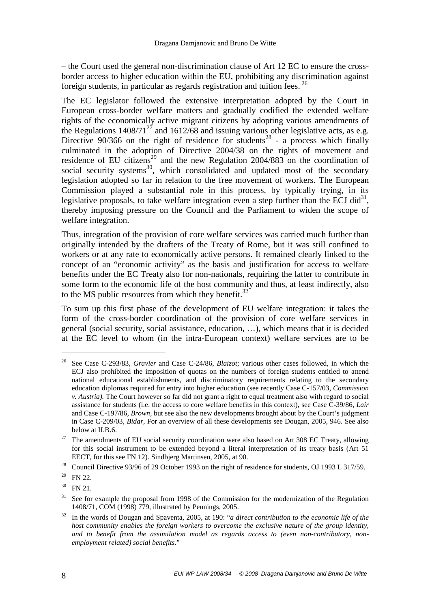– the Court used the general non-discrimination clause of Art 12 EC to ensure the crossborder access to higher education within the EU, prohibiting any discrimination against foreign students, in particular as regards registration and tuition fees.<sup>26</sup>

The EC legislator followed the extensive interpretation adopted by the Court in European cross-border welfare matters and gradually codified the extended welfare rights of the economically active migrant citizens by adopting various amendments of the Regulations  $1408/71^{27}$  and  $1612/68$  and issuing various other legislative acts, as e.g. Directive  $90/366$  on the right of residence for students<sup>28</sup> - a process which finally culminated in the adoption of Directive 2004/38 on the rights of movement and residence of EU citizens<sup>29</sup> and the new Regulation 2004/883 on the coordination of social security systems<sup>30</sup>, which consolidated and updated most of the secondary legislation adopted so far in relation to the free movement of workers. The European Commission played a substantial role in this process, by typically trying, in its legislative proposals, to take welfare integration even a step further than the ECJ did $^{31}$ , thereby imposing pressure on the Council and the Parliament to widen the scope of welfare integration.

Thus, integration of the provision of core welfare services was carried much further than originally intended by the drafters of the Treaty of Rome, but it was still confined to workers or at any rate to economically active persons. It remained clearly linked to the concept of an "economic activity" as the basis and justification for access to welfare benefits under the EC Treaty also for non-nationals, requiring the latter to contribute in some form to the economic life of the host community and thus, at least indirectly, also to the MS public resources from which they benefit.<sup>32</sup>

To sum up this first phase of the development of EU welfare integration: it takes the form of the cross-border coordination of the provision of core welfare services in general (social security, social assistance, education, …), which means that it is decided at the EC level to whom (in the intra-European context) welfare services are to be

<sup>26</sup> See Case C-293/83, *Gravier* and Case C-24/86, *Blaizot*; various other cases followed, in which the ECJ also prohibited the imposition of quotas on the numbers of foreign students entitled to attend national educational establishments, and discriminatory requirements relating to the secondary education diplomas required for entry into higher education (see recently Case C-157/03, *Commission v. Austria).* The Court however so far did not grant a right to equal treatment also with regard to social assistance for students (i.e. the access to core welfare benefits in this context), see Case C-39/86, *Lair* and Case C-197/86, *Brown,* but see also the new developments brought about by the Court's judgment in Case C-209/03, *Bidar*, For an overview of all these developments see Dougan, 2005, 946. See also below at II.B.6.

<sup>&</sup>lt;sup>27</sup> The amendments of EU social security coordination were also based on Art 308 EC Treaty, allowing for this social instrument to be extended beyond a literal interpretation of its treaty basis (Art 51 EECT, for this see FN 12). Sindbjerg Martinsen, 2005, at 90.

<sup>&</sup>lt;sup>28</sup> Council Directive 93/96 of 29 October 1993 on the right of residence for students, OJ 1993 L 317/59.

 $29$  FN 22.

 $30$  FN 21.

<sup>&</sup>lt;sup>31</sup> See for example the proposal from 1998 of the Commission for the modernization of the Regulation 1408/71, COM (1998) 779, illustrated by Pennings, 2005.

<sup>32</sup> In the words of Dougan and Spaventa, 2005, at 190: "*a direct contribution to the economic life of the host community enables the foreign workers to overcome the exclusive nature of the group identity, and to benefit from the assimilation model as regards access to (even non-contributory, nonemployment related) social benefits.*"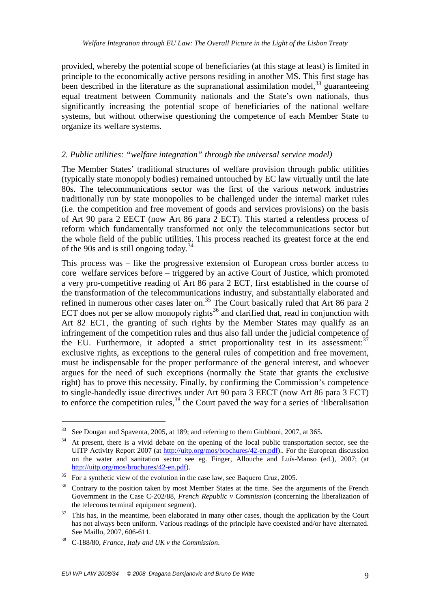provided, whereby the potential scope of beneficiaries (at this stage at least) is limited in principle to the economically active persons residing in another MS. This first stage has been described in the literature as the supranational assimilation model,  $33$  guaranteeing equal treatment between Community nationals and the State's own nationals, thus significantly increasing the potential scope of beneficiaries of the national welfare systems, but without otherwise questioning the competence of each Member State to organize its welfare systems.

#### *2. Public utilities: "welfare integration" through the universal service model)*

The Member States' traditional structures of welfare provision through public utilities (typically state monopoly bodies) remained untouched by EC law virtually until the late 80s. The telecommunications sector was the first of the various network industries traditionally run by state monopolies to be challenged under the internal market rules (i.e. the competition and free movement of goods and services provisions) on the basis of Art 90 para 2 EECT (now Art 86 para 2 ECT). This started a relentless process of reform which fundamentally transformed not only the telecommunications sector but the whole field of the public utilities. This process reached its greatest force at the end of the 90s and is still ongoing today.<sup>34</sup>

This process was – like the progressive extension of European cross border access to core welfare services before – triggered by an active Court of Justice, which promoted a very pro-competitive reading of Art 86 para 2 ECT, first established in the course of the transformation of the telecommunications industry, and substantially elaborated and refined in numerous other cases later on.<sup>35</sup> The Court basically ruled that Art 86 para 2 ECT does not per se allow monopoly rights<sup>36</sup> and clarified that, read in conjunction with Art 82 ECT, the granting of such rights by the Member States may qualify as an infringement of the competition rules and thus also fall under the judicial competence of the EU. Furthermore, it adopted a strict proportionality test in its assessment:  $37$ exclusive rights, as exceptions to the general rules of competition and free movement, must be indispensable for the proper performance of the general interest, and whoever argues for the need of such exceptions (normally the State that grants the exclusive right) has to prove this necessity. Finally, by confirming the Commission's competence to single-handedly issue directives under Art 90 para 3 EECT (now Art 86 para 3 ECT) to enforce the competition rules,  $38$  the Court paved the way for a series of 'liberalisation'

<sup>&</sup>lt;sup>33</sup> See Dougan and Spaventa, 2005, at 189; and referring to them Giubboni, 2007, at 365.

<sup>34</sup> At present, there is a vivid debate on the opening of the local public transportation sector, see the UITP Activity Report 2007 (at http://uitp.org/mos/brochures/42-en.pdf).. For the European discussion on the water and sanitation sector see eg. Finger, Allouche and Luís-Manso (ed.), 2007; (at http://uitp.org/mos/brochures/42-en.pdf).

 $35$  For a synthetic view of the evolution in the case law, see Baquero Cruz, 2005.

<sup>&</sup>lt;sup>36</sup> Contrary to the position taken by most Member States at the time. See the arguments of the French Government in the Case C-202/88, *French Republic v Commission* (concerning the liberalization of the telecoms terminal equipment segment).

 $37$  This has, in the meantime, been elaborated in many other cases, though the application by the Court has not always been uniform. Various readings of the principle have coexisted and/or have alternated. See Maillo, 2007, 606-611.

<sup>38</sup> C-188/80, *France, Italy and UK v the Commission*.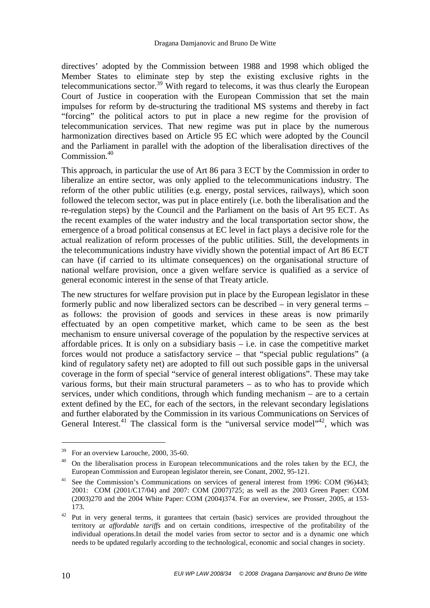directives' adopted by the Commission between 1988 and 1998 which obliged the Member States to eliminate step by step the existing exclusive rights in the telecommunications sector.<sup>39</sup> With regard to telecoms, it was thus clearly the European Court of Justice in cooperation with the European Commission that set the main impulses for reform by de-structuring the traditional MS systems and thereby in fact "forcing" the political actors to put in place a new regime for the provision of telecommunication services. That new regime was put in place by the numerous harmonization directives based on Article 95 EC which were adopted by the Council and the Parliament in parallel with the adoption of the liberalisation directives of the Commission.<sup>40</sup>

This approach, in particular the use of Art 86 para 3 ECT by the Commission in order to liberalize an entire sector, was only applied to the telecommunications industry. The reform of the other public utilities (e.g. energy, postal services, railways), which soon followed the telecom sector, was put in place entirely (i.e. both the liberalisation and the re-regulation steps) by the Council and the Parliament on the basis of Art 95 ECT. As the recent examples of the water industry and the local transportation sector show, the emergence of a broad political consensus at EC level in fact plays a decisive role for the actual realization of reform processes of the public utilities. Still, the developments in the telecommunications industry have vividly shown the potential impact of Art 86 ECT can have (if carried to its ultimate consequences) on the organisational structure of national welfare provision, once a given welfare service is qualified as a service of general economic interest in the sense of that Treaty article.

The new structures for welfare provision put in place by the European legislator in these formerly public and now liberalized sectors can be described – in very general terms – as follows: the provision of goods and services in these areas is now primarily effectuated by an open competitive market, which came to be seen as the best mechanism to ensure universal coverage of the population by the respective services at affordable prices. It is only on a subsidiary basis – i.e. in case the competitive market forces would not produce a satisfactory service – that "special public regulations" (a kind of regulatory safety net) are adopted to fill out such possible gaps in the universal coverage in the form of special "service of general interest obligations". These may take various forms, but their main structural parameters – as to who has to provide which services, under which conditions, through which funding mechanism – are to a certain extent defined by the EC, for each of the sectors, in the relevant secondary legislations and further elaborated by the Commission in its various Communications on Services of General Interest.<sup>41</sup> The classical form is the "universal service model"<sup>42</sup>, which was

<sup>&</sup>lt;sup>39</sup> For an overview Larouche, 2000, 35-60.

 $40$  On the liberalisation process in European telecommunications and the roles taken by the ECJ, the European Commission and European legislator therein, see Conant, 2002, 95-121.

<sup>&</sup>lt;sup>41</sup> See the Commission's Communications on services of general interest from 1996: COM (96)443; 2001: COM (2001/C17/04) and 2007: COM (2007)725; as well as the 2003 Green Paper: COM (2003)270 and the 2004 White Paper: COM (2004)374. For an overview, see Prosser, 2005, at 153- 173.

<sup>&</sup>lt;sup>42</sup> Put in very general terms, it gurantees that certain (basic) services are provided throughout the territory *at affordable tariffs* and on certain conditions, irrespective of the profitability of the individual operations.In detail the model varies from sector to sector and is a dynamic one which needs to be updated regularly according to the technological, economic and social changes in society.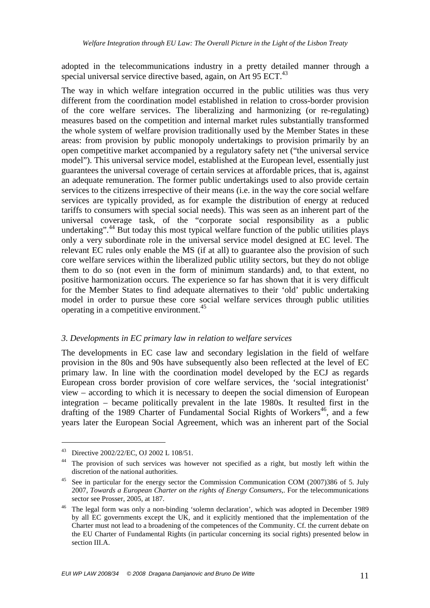adopted in the telecommunications industry in a pretty detailed manner through a special universal service directive based, again, on Art 95 ECT.<sup>43</sup>

The way in which welfare integration occurred in the public utilities was thus very different from the coordination model established in relation to cross-border provision of the core welfare services. The liberalizing and harmonizing (or re-regulating) measures based on the competition and internal market rules substantially transformed the whole system of welfare provision traditionally used by the Member States in these areas: from provision by public monopoly undertakings to provision primarily by an open competitive market accompanied by a regulatory safety net ("the universal service model"). This universal service model, established at the European level, essentially just guarantees the universal coverage of certain services at affordable prices, that is, against an adequate remuneration. The former public undertakings used to also provide certain services to the citizens irrespective of their means (i.e. in the way the core social welfare services are typically provided, as for example the distribution of energy at reduced tariffs to consumers with special social needs). This was seen as an inherent part of the universal coverage task, of the "corporate social responsibility as a public undertaking".<sup>44</sup> But today this most typical welfare function of the public utilities plays only a very subordinate role in the universal service model designed at EC level. The relevant EC rules only enable the MS (if at all) to guarantee also the provision of such core welfare services within the liberalized public utility sectors, but they do not oblige them to do so (not even in the form of minimum standards) and, to that extent, no positive harmonization occurs. The experience so far has shown that it is very difficult for the Member States to find adequate alternatives to their 'old' public undertaking model in order to pursue these core social welfare services through public utilities operating in a competitive environment.<sup>45</sup>

#### *3. Developments in EC primary law in relation to welfare services*

The developments in EC case law and secondary legislation in the field of welfare provision in the 80s and 90s have subsequently also been reflected at the level of EC primary law. In line with the coordination model developed by the ECJ as regards European cross border provision of core welfare services, the 'social integrationist' view – according to which it is necessary to deepen the social dimension of European integration – became politically prevalent in the late 1980s. It resulted first in the drafting of the 1989 Charter of Fundamental Social Rights of Workers<sup>46</sup>, and a few years later the European Social Agreement, which was an inherent part of the Social

<sup>43</sup> Directive 2002/22/EC, OJ 2002 L 108/51.

<sup>&</sup>lt;sup>44</sup> The provision of such services was however not specified as a right, but mostly left within the discretion of the national authorities.

<sup>&</sup>lt;sup>45</sup> See in particular for the energy sector the Commission Communication COM (2007)386 of 5. July 2007, *Towards a European Charter on the rights of Energy Consumers*,. For the telecommunications sector see Prosser, 2005, at 187.

<sup>&</sup>lt;sup>46</sup> The legal form was only a non-binding 'solemn declaration', which was adopted in December 1989 by all EC governments except the UK, and it explicitly mentioned that the implementation of the Charter must not lead to a broadening of the competences of the Community. Cf. the current debate on the EU Charter of Fundamental Rights (in particular concerning its social rights) presented below in section III.A.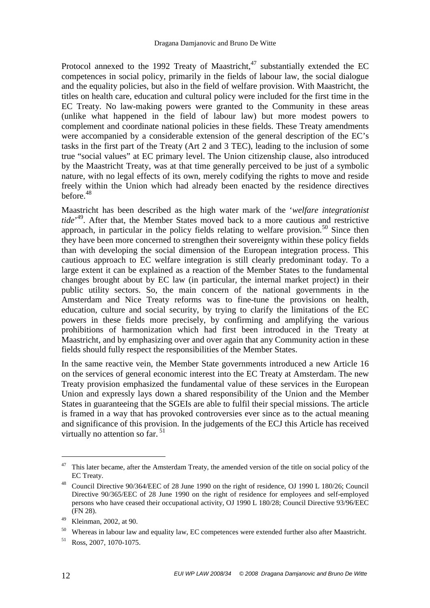Protocol annexed to the 1992 Treaty of Maastricht,<sup>47</sup> substantially extended the EC competences in social policy, primarily in the fields of labour law, the social dialogue and the equality policies, but also in the field of welfare provision. With Maastricht, the titles on health care, education and cultural policy were included for the first time in the EC Treaty. No law-making powers were granted to the Community in these areas (unlike what happened in the field of labour law) but more modest powers to complement and coordinate national policies in these fields. These Treaty amendments were accompanied by a considerable extension of the general description of the EC's tasks in the first part of the Treaty (Art 2 and 3 TEC), leading to the inclusion of some true "social values" at EC primary level. The Union citizenship clause, also introduced by the Maastricht Treaty, was at that time generally perceived to be just of a symbolic nature, with no legal effects of its own, merely codifying the rights to move and reside freely within the Union which had already been enacted by the residence directives before.<sup>48</sup>

Maastricht has been described as the high water mark of the '*welfare integrationist tide*' <sup>49</sup>. After that, the Member States moved back to a more cautious and restrictive approach, in particular in the policy fields relating to welfare provision.<sup>50</sup> Since then they have been more concerned to strengthen their sovereignty within these policy fields than with developing the social dimension of the European integration process. This cautious approach to EC welfare integration is still clearly predominant today. To a large extent it can be explained as a reaction of the Member States to the fundamental changes brought about by EC law (in particular, the internal market project) in their public utility sectors. So, the main concern of the national governments in the Amsterdam and Nice Treaty reforms was to fine-tune the provisions on health, education, culture and social security, by trying to clarify the limitations of the EC powers in these fields more precisely, by confirming and amplifying the various prohibitions of harmonization which had first been introduced in the Treaty at Maastricht, and by emphasizing over and over again that any Community action in these fields should fully respect the responsibilities of the Member States.

In the same reactive vein, the Member State governments introduced a new Article 16 on the services of general economic interest into the EC Treaty at Amsterdam. The new Treaty provision emphasized the fundamental value of these services in the European Union and expressly lays down a shared responsibility of the Union and the Member States in guaranteeing that the SGEIs are able to fulfil their special missions. The article is framed in a way that has provoked controversies ever since as to the actual meaning and significance of this provision. In the judgements of the ECJ this Article has received virtually no attention so far.  $51$ 

 $47$  This later became, after the Amsterdam Treaty, the amended version of the title on social policy of the EC Treaty.

<sup>&</sup>lt;sup>48</sup> Council Directive 90/364/EEC of 28 June 1990 on the right of residence, OJ 1990 L 180/26; Council Directive 90/365/EEC of 28 June 1990 on the right of residence for employees and self-employed persons who have ceased their occupational activity, OJ 1990 L 180/28; Council Directive 93/96/EEC (FN 28).

<sup>49</sup> Kleinman, 2002, at 90.

<sup>&</sup>lt;sup>50</sup> Whereas in labour law and equality law, EC competences were extended further also after Maastricht.

<sup>51</sup> Ross, 2007, 1070-1075.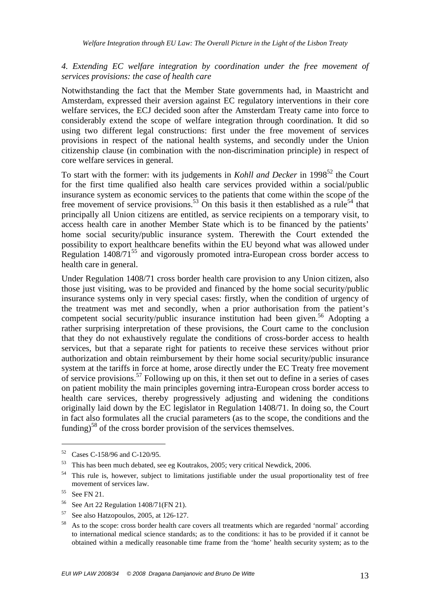## *4. Extending EC welfare integration by coordination under the free movement of services provisions: the case of health care*

Notwithstanding the fact that the Member State governments had, in Maastricht and Amsterdam, expressed their aversion against EC regulatory interventions in their core welfare services, the ECJ decided soon after the Amsterdam Treaty came into force to considerably extend the scope of welfare integration through coordination. It did so using two different legal constructions: first under the free movement of services provisions in respect of the national health systems, and secondly under the Union citizenship clause (in combination with the non-discrimination principle) in respect of core welfare services in general.

To start with the former: with its judgements in *Kohll and Decker* in 1998<sup>52</sup> the Court for the first time qualified also health care services provided within a social/public insurance system as economic services to the patients that come within the scope of the free movement of service provisions.<sup>53</sup> On this basis it then established as a rule<sup>54</sup> that principally all Union citizens are entitled, as service recipients on a temporary visit, to access health care in another Member State which is to be financed by the patients' home social security/public insurance system. Therewith the Court extended the possibility to export healthcare benefits within the EU beyond what was allowed under Regulation  $1408/71^{55}$  and vigorously promoted intra-European cross border access to health care in general.

Under Regulation 1408/71 cross border health care provision to any Union citizen, also those just visiting, was to be provided and financed by the home social security/public insurance systems only in very special cases: firstly, when the condition of urgency of the treatment was met and secondly, when a prior authorisation from the patient's competent social security/public insurance institution had been given.<sup>56</sup> Adopting a rather surprising interpretation of these provisions, the Court came to the conclusion that they do not exhaustively regulate the conditions of cross-border access to health services, but that a separate right for patients to receive these services without prior authorization and obtain reimbursement by their home social security/public insurance system at the tariffs in force at home, arose directly under the EC Treaty free movement of service provisions.<sup>57</sup> Following up on this, it then set out to define in a series of cases on patient mobility the main principles governing intra-European cross border access to health care services, thereby progressively adjusting and widening the conditions originally laid down by the EC legislator in Regulation 1408/71. In doing so, the Court in fact also formulates all the crucial parameters (as to the scope, the conditions and the funding)<sup>58</sup> of the cross border provision of the services themselves.

<sup>52</sup> Cases C-158/96 and C-120/95.

<sup>53</sup> This has been much debated, see eg Koutrakos, 2005; very critical Newdick, 2006.

This rule is, however, subject to limitations justifiable under the usual proportionality test of free movement of services law.

 $55$  See FN 21.

<sup>56</sup> See Art 22 Regulation 1408/71(FN 21).

 $57$  See also Hatzopoulos, 2005, at 126-127.

<sup>58</sup> As to the scope: cross border health care covers all treatments which are regarded 'normal' according to international medical science standards; as to the conditions: it has to be provided if it cannot be obtained within a medically reasonable time frame from the 'home' health security system; as to the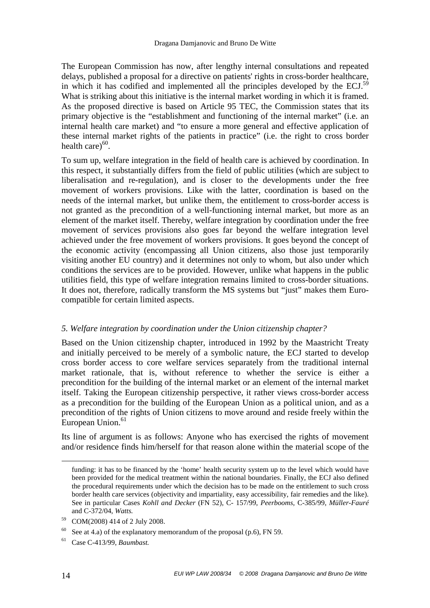The European Commission has now, after lengthy internal consultations and repeated delays, published a proposal for a directive on patients' rights in cross-border healthcare, in which it has codified and implemented all the principles developed by the ECJ.<sup>59</sup> What is striking about this initiative is the internal market wording in which it is framed. As the proposed directive is based on Article 95 TEC, the Commission states that its primary objective is the "establishment and functioning of the internal market" (i.e. an internal health care market) and "to ensure a more general and effective application of these internal market rights of the patients in practice" (i.e. the right to cross border health care $)^{60}$ .

To sum up, welfare integration in the field of health care is achieved by coordination. In this respect, it substantially differs from the field of public utilities (which are subject to liberalisation and re-regulation), and is closer to the developments under the free movement of workers provisions. Like with the latter, coordination is based on the needs of the internal market, but unlike them, the entitlement to cross-border access is not granted as the precondition of a well-functioning internal market, but more as an element of the market itself. Thereby, welfare integration by coordination under the free movement of services provisions also goes far beyond the welfare integration level achieved under the free movement of workers provisions. It goes beyond the concept of the economic activity (encompassing all Union citizens, also those just temporarily visiting another EU country) and it determines not only to whom, but also under which conditions the services are to be provided. However, unlike what happens in the public utilities field, this type of welfare integration remains limited to cross-border situations. It does not, therefore, radically transform the MS systems but "just" makes them Eurocompatible for certain limited aspects.

#### *5. Welfare integration by coordination under the Union citizenship chapter?*

Based on the Union citizenship chapter, introduced in 1992 by the Maastricht Treaty and initially perceived to be merely of a symbolic nature, the ECJ started to develop cross border access to core welfare services separately from the traditional internal market rationale, that is, without reference to whether the service is either a precondition for the building of the internal market or an element of the internal market itself. Taking the European citizenship perspective, it rather views cross-border access as a precondition for the building of the European Union as a political union, and as a precondition of the rights of Union citizens to move around and reside freely within the European Union.<sup>61</sup>

Its line of argument is as follows: Anyone who has exercised the rights of movement and/or residence finds him/herself for that reason alone within the material scope of the

<u>.</u>

funding: it has to be financed by the 'home' health security system up to the level which would have been provided for the medical treatment within the national boundaries. Finally, the ECJ also defined the procedural requirements under which the decision has to be made on the entitlement to such cross border health care services (objectivity and impartiality, easy accessibility, fair remedies and the like). See in particular Cases *Kohll and Decker* (FN 52), C- 157/99, *Peerbooms,* C-385/99, *Müller-Fauré* and C-372/04, *Watts.* 

<sup>59</sup> COM(2008) 414 of 2 July 2008.

<sup>&</sup>lt;sup>60</sup> See at 4.a) of the explanatory memorandum of the proposal (p.6), FN 59.

<sup>61</sup> Case C-413/99, *Baumbast.*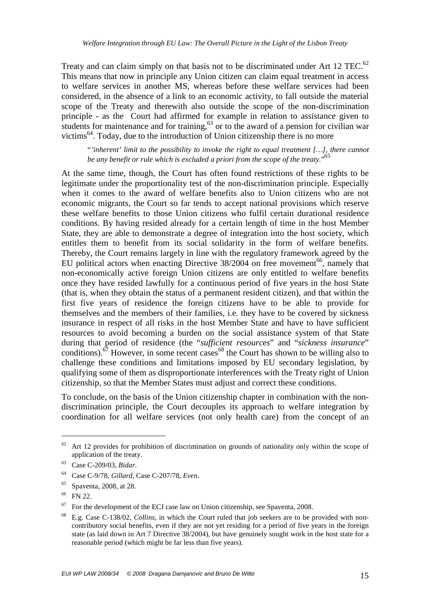Treaty and can claim simply on that basis not to be discriminated under Art 12 TEC.<sup>62</sup> This means that now in principle any Union citizen can claim equal treatment in access to welfare services in another MS, whereas before these welfare services had been considered, in the absence of a link to an economic activity, to fall outside the material scope of the Treaty and therewith also outside the scope of the non-discrimination principle - as the Court had affirmed for example in relation to assistance given to students for maintenance and for training,  $^{63}$  or to the award of a pension for civilian war victims<sup>64</sup>. Today, due to the introduction of Union citizenship there is no more

"*'inherent' limit to the possibility to invoke the right to equal treatment […], there cannot be any benefit or rule which is excluded a priori from the scope of the treaty.*" 65

At the same time, though, the Court has often found restrictions of these rights to be legitimate under the proportionality test of the non-discrimination principle. Especially when it comes to the award of welfare benefits also to Union citizens who are not economic migrants, the Court so far tends to accept national provisions which reserve these welfare benefits to those Union citizens who fulfil certain durational residence conditions. By having resided already for a certain length of time in the host Member State, they are able to demonstrate a degree of integration into the host society, which entitles them to benefit from its social solidarity in the form of welfare benefits. Thereby, the Court remains largely in line with the regulatory framework agreed by the EU political actors when enacting Directive  $38/2004$  on free movement<sup>66</sup>, namely that non-economically active foreign Union citizens are only entitled to welfare benefits once they have resided lawfully for a continuous period of five years in the host State (that is, when they obtain the status of a permanent resident citizen), and that within the first five years of residence the foreign citizens have to be able to provide for themselves and the members of their families, i.e. they have to be covered by sickness insurance in respect of all risks in the host Member State and have to have sufficient resources to avoid becoming a burden on the social assistance system of that State during that period of residence (the "*sufficient resources*" and "*sickness insurance*" conditions). $67$  However, in some recent cases  $68$  the Court has shown to be willing also to challenge these conditions and limitations imposed by EU secondary legislation, by qualifying some of them as disproportionate interferences with the Treaty right of Union citizenship, so that the Member States must adjust and correct these conditions.

To conclude, on the basis of the Union citizenship chapter in combination with the nondiscrimination principle, the Court decouples its approach to welfare integration by coordination for all welfare services (not only health care) from the concept of an

 $62$  Art 12 provides for prohibition of discrimination on grounds of nationality only within the scope of application of the treaty.

<sup>63</sup> Case C-209/03, *Bidar*.

<sup>64</sup> Case C-9/78, *Gillard*, Case C-207/78, *Even*.

<sup>65</sup> Spaventa, 2008, at 28.

<sup>66</sup> FN 22.

 $67$  For the development of the ECJ case law on Union citizenship, see Spaventa, 2008.

<sup>68</sup> E.g. Case C-138/02, *Collins*, in which the Court ruled that job seekers are to be provided with noncontributory social benefits, even if they are not yet residing for a period of five years in the foreign state (as laid down in Art 7 Directive 38/2004), but have genuinely sought work in the host state for a reasonable period (which might be far less than five years).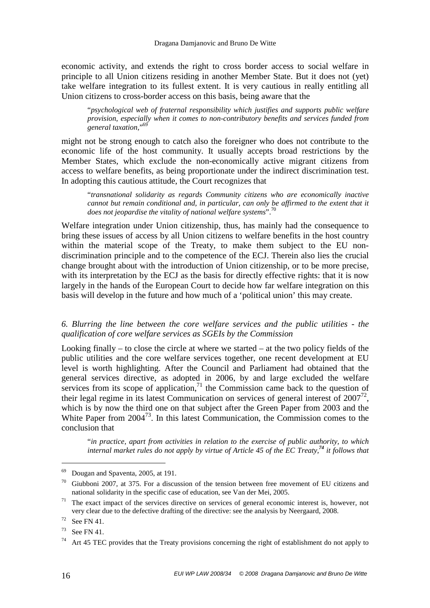economic activity, and extends the right to cross border access to social welfare in principle to all Union citizens residing in another Member State. But it does not (yet) take welfare integration to its fullest extent. It is very cautious in really entitling all Union citizens to cross-border access on this basis, being aware that the

"*psychological web of fraternal responsibility which justifies and supports public welfare provision*, *especially when it comes to non-contributory benefits and services funded from general taxation,*" 69

might not be strong enough to catch also the foreigner who does not contribute to the economic life of the host community. It usually accepts broad restrictions by the Member States, which exclude the non-economically active migrant citizens from access to welfare benefits, as being proportionate under the indirect discrimination test. In adopting this cautious attitude, the Court recognizes that

"*transnational solidarity as regards Community citizens who are economically inactive cannot but remain conditional and, in particular, can only be affirmed to the extent that it does not jeopardise the vitality of national welfare systems*".<sup>70</sup>

Welfare integration under Union citizenship, thus, has mainly had the consequence to bring these issues of access by all Union citizens to welfare benefits in the host country within the material scope of the Treaty, to make them subject to the EU nondiscrimination principle and to the competence of the ECJ. Therein also lies the crucial change brought about with the introduction of Union citizenship, or to be more precise, with its interpretation by the ECJ as the basis for directly effective rights: that it is now largely in the hands of the European Court to decide how far welfare integration on this basis will develop in the future and how much of a 'political union' this may create.

*6. Blurring the line between the core welfare services and the public utilities - the qualification of core welfare services as SGEIs by the Commission* 

Looking finally – to close the circle at where we started – at the two policy fields of the public utilities and the core welfare services together, one recent development at EU level is worth highlighting. After the Council and Parliament had obtained that the general services directive, as adopted in 2006, by and large excluded the welfare services from its scope of application, $<sup>71</sup>$  the Commission came back to the question of</sup> their legal regime in its latest Communication on services of general interest of  $2007^{72}$ , which is by now the third one on that subject after the Green Paper from 2003 and the White Paper from  $2004^{73}$ . In this latest Communication, the Commission comes to the conclusion that

"*in practice, apart from activities in relation to the exercise of public authority, to which internal market rules do not apply by virtue of Article 45 of the EC Treaty,<sup>74</sup> it follows that* 

<sup>69</sup> Dougan and Spaventa, 2005, at 191.

 $70$  Giubboni 2007, at 375. For a discussion of the tension between free movement of EU citizens and national solidarity in the specific case of education, see Van der Mei, 2005.

 $71$  The exact impact of the services directive on services of general economic interest is, however, not very clear due to the defective drafting of the directive: see the analysis by Neergaard, 2008.

 $72$  See FN 41.

 $73$  See FN 41.

<sup>&</sup>lt;sup>74</sup> Art 45 TEC provides that the Treaty provisions concerning the right of establishment do not apply to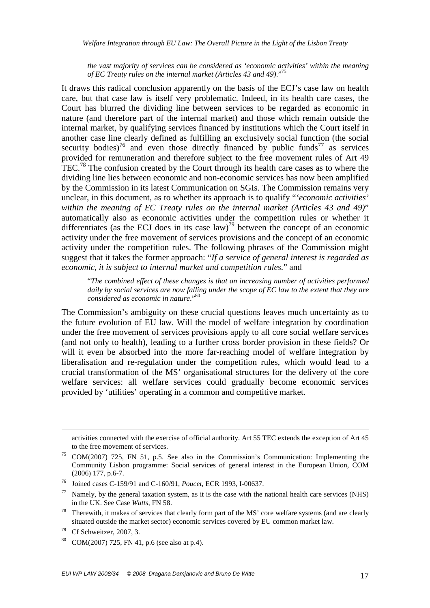*Welfare Integration through EU Law: The Overall Picture in the Light of the Lisbon Treaty* 

*the vast majority of services can be considered as 'economic activities' within the meaning of EC Treaty rules on the internal market (Articles 43 and 49)*."<sup>75</sup>

It draws this radical conclusion apparently on the basis of the ECJ's case law on health care, but that case law is itself very problematic. Indeed, in its health care cases, the Court has blurred the dividing line between services to be regarded as economic in nature (and therefore part of the internal market) and those which remain outside the internal market, by qualifying services financed by institutions which the Court itself in another case line clearly defined as fulfilling an exclusively social function (the social security bodies)<sup>76</sup> and even those directly financed by public funds<sup>77</sup> as services provided for remuneration and therefore subject to the free movement rules of Art 49 TEC.<sup>78</sup> The confusion created by the Court through its health care cases as to where the dividing line lies between economic and non-economic services has now been amplified by the Commission in its latest Communication on SGIs. The Commission remains very unclear, in this document, as to whether its approach is to qualify "*'economic activities' within the meaning of EC Treaty rules on the internal market (Articles 43 and 49)*" automatically also as economic activities under the competition rules or whether it differentiates (as the ECJ does in its case law)<sup>79</sup> between the concept of an economic activity under the free movement of services provisions and the concept of an economic activity under the competition rules. The following phrases of the Commission might suggest that it takes the former approach: "*If a service of general interest is regarded as economic, it is subject to internal market and competition rules.*" and

"*The combined effect of these changes is that an increasing number of activities performed daily by social services are now falling under the scope of EC law to the extent that they are considered as economic in nature*."<sup>80</sup>

The Commission's ambiguity on these crucial questions leaves much uncertainty as to the future evolution of EU law. Will the model of welfare integration by coordination under the free movement of services provisions apply to all core social welfare services (and not only to health), leading to a further cross border provision in these fields? Or will it even be absorbed into the more far-reaching model of welfare integration by liberalisation and re-regulation under the competition rules, which would lead to a crucial transformation of the MS' organisational structures for the delivery of the core welfare services: all welfare services could gradually become economic services provided by 'utilities' operating in a common and competitive market.

<u>.</u>

activities connected with the exercise of official authority. Art 55 TEC extends the exception of Art 45 to the free movement of services.

<sup>75</sup> COM(2007) 725, FN 51, p.5. See also in the Commission's Communication: Implementing the Community Lisbon programme: Social services of general interest in the European Union, COM (2006) 177, p.6-7.

<sup>76</sup> Joined cases C-159/91 and C-160/91, *Poucet*, ECR 1993, I-00637.

 $77$  Namely, by the general taxation system, as it is the case with the national health care services (NHS) in the UK. See Case *Watts*, FN 58.

<sup>&</sup>lt;sup>78</sup> Therewith, it makes of services that clearly form part of the MS' core welfare systems (and are clearly situated outside the market sector) economic services covered by EU common market law.

<sup>79</sup> Cf Schweitzer, 2007, 3.

<sup>80</sup> COM(2007) 725, FN 41, p.6 (see also at p.4).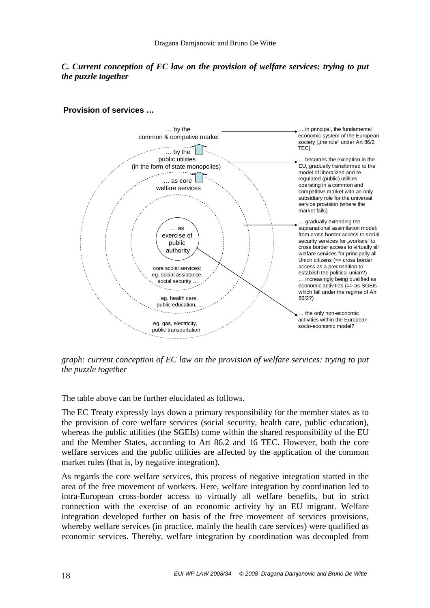# *C. Current conception of EC law on the provision of welfare services: trying to put the puzzle together*

#### **Provision of services …**



*graph: current conception of EC law on the provision of welfare services: trying to put the puzzle together* 

The table above can be further elucidated as follows.

The EC Treaty expressly lays down a primary responsibility for the member states as to the provision of core welfare services (social security, health care, public education), whereas the public utilities (the SGEIs) come within the shared responsibility of the EU and the Member States, according to Art 86.2 and 16 TEC. However, both the core welfare services and the public utilities are affected by the application of the common market rules (that is, by negative integration).

As regards the core welfare services, this process of negative integration started in the area of the free movement of workers. Here, welfare integration by coordination led to intra-European cross-border access to virtually all welfare benefits, but in strict connection with the exercise of an economic activity by an EU migrant. Welfare integration developed further on basis of the free movement of services provisions, whereby welfare services (in practice, mainly the health care services) were qualified as economic services. Thereby, welfare integration by coordination was decoupled from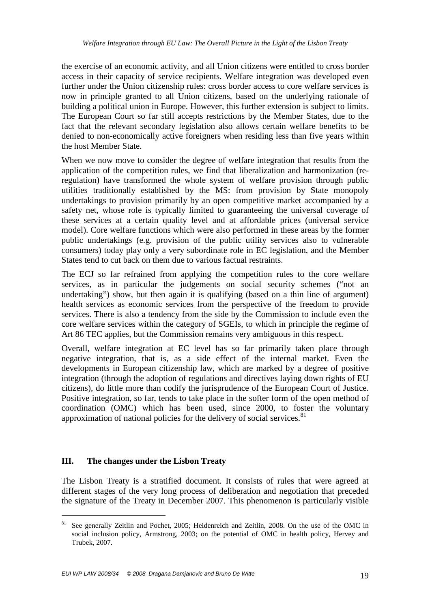the exercise of an economic activity, and all Union citizens were entitled to cross border access in their capacity of service recipients. Welfare integration was developed even further under the Union citizenship rules: cross border access to core welfare services is now in principle granted to all Union citizens, based on the underlying rationale of building a political union in Europe. However, this further extension is subject to limits. The European Court so far still accepts restrictions by the Member States, due to the fact that the relevant secondary legislation also allows certain welfare benefits to be denied to non-economically active foreigners when residing less than five years within the host Member State.

When we now move to consider the degree of welfare integration that results from the application of the competition rules, we find that liberalization and harmonization (reregulation) have transformed the whole system of welfare provision through public utilities traditionally established by the MS: from provision by State monopoly undertakings to provision primarily by an open competitive market accompanied by a safety net, whose role is typically limited to guaranteeing the universal coverage of these services at a certain quality level and at affordable prices (universal service model). Core welfare functions which were also performed in these areas by the former public undertakings (e.g. provision of the public utility services also to vulnerable consumers) today play only a very subordinate role in EC legislation, and the Member States tend to cut back on them due to various factual restraints.

The ECJ so far refrained from applying the competition rules to the core welfare services, as in particular the judgements on social security schemes ("not an undertaking") show, but then again it is qualifying (based on a thin line of argument) health services as economic services from the perspective of the freedom to provide services. There is also a tendency from the side by the Commission to include even the core welfare services within the category of SGEIs, to which in principle the regime of Art 86 TEC applies, but the Commission remains very ambiguous in this respect.

Overall, welfare integration at EC level has so far primarily taken place through negative integration, that is, as a side effect of the internal market. Even the developments in European citizenship law, which are marked by a degree of positive integration (through the adoption of regulations and directives laying down rights of EU citizens), do little more than codify the jurisprudence of the European Court of Justice. Positive integration, so far, tends to take place in the softer form of the open method of coordination (OMC) which has been used, since 2000, to foster the voluntary approximation of national policies for the delivery of social services.<sup>81</sup>

# **III. The changes under the Lisbon Treaty**

 $\overline{a}$ 

The Lisbon Treaty is a stratified document. It consists of rules that were agreed at different stages of the very long process of deliberation and negotiation that preceded the signature of the Treaty in December 2007. This phenomenon is particularly visible

<sup>&</sup>lt;sup>81</sup> See generally Zeitlin and Pochet, 2005; Heidenreich and Zeitlin, 2008. On the use of the OMC in social inclusion policy, Armstrong, 2003; on the potential of OMC in health policy, Hervey and Trubek, 2007.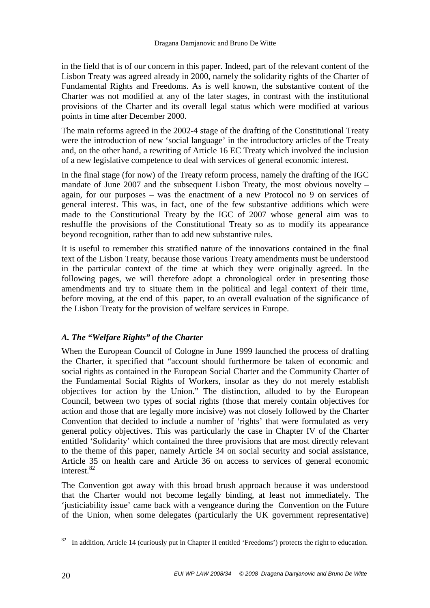in the field that is of our concern in this paper. Indeed, part of the relevant content of the Lisbon Treaty was agreed already in 2000, namely the solidarity rights of the Charter of Fundamental Rights and Freedoms. As is well known, the substantive content of the Charter was not modified at any of the later stages, in contrast with the institutional provisions of the Charter and its overall legal status which were modified at various points in time after December 2000.

The main reforms agreed in the 2002-4 stage of the drafting of the Constitutional Treaty were the introduction of new 'social language' in the introductory articles of the Treaty and, on the other hand, a rewriting of Article 16 EC Treaty which involved the inclusion of a new legislative competence to deal with services of general economic interest.

In the final stage (for now) of the Treaty reform process, namely the drafting of the IGC mandate of June 2007 and the subsequent Lisbon Treaty, the most obvious novelty – again, for our purposes – was the enactment of a new Protocol no 9 on services of general interest. This was, in fact, one of the few substantive additions which were made to the Constitutional Treaty by the IGC of 2007 whose general aim was to reshuffle the provisions of the Constitutional Treaty so as to modify its appearance beyond recognition, rather than to add new substantive rules.

It is useful to remember this stratified nature of the innovations contained in the final text of the Lisbon Treaty, because those various Treaty amendments must be understood in the particular context of the time at which they were originally agreed. In the following pages, we will therefore adopt a chronological order in presenting those amendments and try to situate them in the political and legal context of their time, before moving, at the end of this paper, to an overall evaluation of the significance of the Lisbon Treaty for the provision of welfare services in Europe.

# *A. The "Welfare Rights" of the Charter*

When the European Council of Cologne in June 1999 launched the process of drafting the Charter, it specified that "account should furthermore be taken of economic and social rights as contained in the European Social Charter and the Community Charter of the Fundamental Social Rights of Workers, insofar as they do not merely establish objectives for action by the Union." The distinction, alluded to by the European Council, between two types of social rights (those that merely contain objectives for action and those that are legally more incisive) was not closely followed by the Charter Convention that decided to include a number of 'rights' that were formulated as very general policy objectives. This was particularly the case in Chapter IV of the Charter entitled 'Solidarity' which contained the three provisions that are most directly relevant to the theme of this paper, namely Article 34 on social security and social assistance, Article 35 on health care and Article 36 on access to services of general economic interest.<sup>82</sup>

The Convention got away with this broad brush approach because it was understood that the Charter would not become legally binding, at least not immediately. The 'justiciability issue' came back with a vengeance during the Convention on the Future of the Union, when some delegates (particularly the UK government representative)

<sup>&</sup>lt;sup>82</sup> In addition, Article 14 (curiously put in Chapter II entitled 'Freedoms') protects the right to education.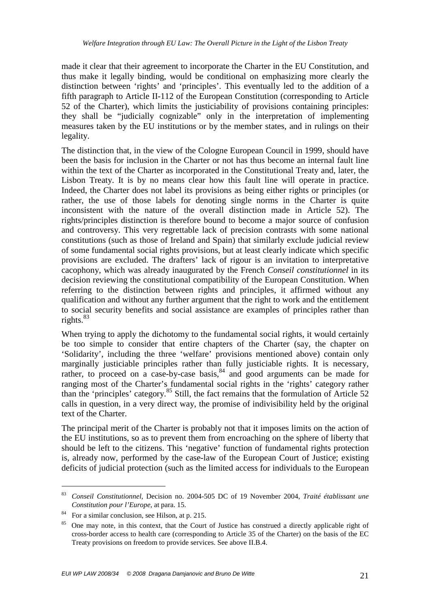made it clear that their agreement to incorporate the Charter in the EU Constitution, and thus make it legally binding, would be conditional on emphasizing more clearly the distinction between 'rights' and 'principles'. This eventually led to the addition of a fifth paragraph to Article II-112 of the European Constitution (corresponding to Article 52 of the Charter), which limits the justiciability of provisions containing principles: they shall be "judicially cognizable" only in the interpretation of implementing measures taken by the EU institutions or by the member states, and in rulings on their legality.

The distinction that, in the view of the Cologne European Council in 1999, should have been the basis for inclusion in the Charter or not has thus become an internal fault line within the text of the Charter as incorporated in the Constitutional Treaty and, later, the Lisbon Treaty. It is by no means clear how this fault line will operate in practice. Indeed, the Charter does not label its provisions as being either rights or principles (or rather, the use of those labels for denoting single norms in the Charter is quite inconsistent with the nature of the overall distinction made in Article 52). The rights/principles distinction is therefore bound to become a major source of confusion and controversy. This very regrettable lack of precision contrasts with some national constitutions (such as those of Ireland and Spain) that similarly exclude judicial review of some fundamental social rights provisions, but at least clearly indicate which specific provisions are excluded. The drafters' lack of rigour is an invitation to interpretative cacophony, which was already inaugurated by the French *Conseil constitutionnel* in its decision reviewing the constitutional compatibility of the European Constitution. When referring to the distinction between rights and principles, it affirmed without any qualification and without any further argument that the right to work and the entitlement to social security benefits and social assistance are examples of principles rather than rights. $83$ 

When trying to apply the dichotomy to the fundamental social rights, it would certainly be too simple to consider that entire chapters of the Charter (say, the chapter on 'Solidarity', including the three 'welfare' provisions mentioned above) contain only marginally justiciable principles rather than fully justiciable rights. It is necessary, rather, to proceed on a case-by-case basis,  $84$  and good arguments can be made for ranging most of the Charter's fundamental social rights in the 'rights' category rather than the 'principles' category.<sup>85</sup> Still, the fact remains that the formulation of Article 52 calls in question, in a very direct way, the promise of indivisibility held by the original text of the Charter.

The principal merit of the Charter is probably not that it imposes limits on the action of the EU institutions, so as to prevent them from encroaching on the sphere of liberty that should be left to the citizens. This 'negative' function of fundamental rights protection is, already now, performed by the case-law of the European Court of Justice; existing deficits of judicial protection (such as the limited access for individuals to the European

<sup>83</sup> *Conseil Constitutionnel,* Decision no. 2004-505 DC of 19 November 2004, *Traité établissant une Constitution pour l'Europe*, at para. 15.

<sup>84</sup> For a similar conclusion, see Hilson, at p. 215.

<sup>&</sup>lt;sup>85</sup> One may note, in this context, that the Court of Justice has construed a directly applicable right of cross-border access to health care (corresponding to Article 35 of the Charter) on the basis of the EC Treaty provisions on freedom to provide services. See above II.B.4.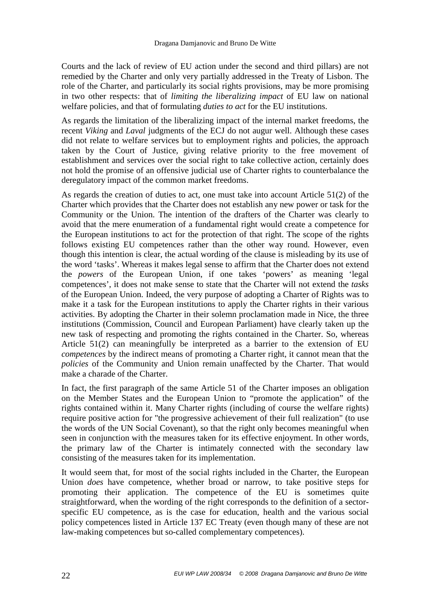Courts and the lack of review of EU action under the second and third pillars) are not remedied by the Charter and only very partially addressed in the Treaty of Lisbon. The role of the Charter, and particularly its social rights provisions, may be more promising in two other respects: that of *limiting the liberalizing impact* of EU law on national welfare policies, and that of formulating *duties to act* for the EU institutions.

As regards the limitation of the liberalizing impact of the internal market freedoms, the recent *Viking* and *Laval* judgments of the ECJ do not augur well. Although these cases did not relate to welfare services but to employment rights and policies, the approach taken by the Court of Justice, giving relative priority to the free movement of establishment and services over the social right to take collective action, certainly does not hold the promise of an offensive judicial use of Charter rights to counterbalance the deregulatory impact of the common market freedoms.

As regards the creation of duties to act, one must take into account Article 51(2) of the Charter which provides that the Charter does not establish any new power or task for the Community or the Union. The intention of the drafters of the Charter was clearly to avoid that the mere enumeration of a fundamental right would create a competence for the European institutions to act for the protection of that right. The scope of the rights follows existing EU competences rather than the other way round. However, even though this intention is clear, the actual wording of the clause is misleading by its use of the word 'tasks'. Whereas it makes legal sense to affirm that the Charter does not extend the *powers* of the European Union, if one takes 'powers' as meaning 'legal competences', it does not make sense to state that the Charter will not extend the *tasks*  of the European Union. Indeed, the very purpose of adopting a Charter of Rights was to make it a task for the European institutions to apply the Charter rights in their various activities. By adopting the Charter in their solemn proclamation made in Nice, the three institutions (Commission, Council and European Parliament) have clearly taken up the new task of respecting and promoting the rights contained in the Charter. So, whereas Article 51(2) can meaningfully be interpreted as a barrier to the extension of EU *competences* by the indirect means of promoting a Charter right, it cannot mean that the *policies* of the Community and Union remain unaffected by the Charter. That would make a charade of the Charter.

In fact, the first paragraph of the same Article 51 of the Charter imposes an obligation on the Member States and the European Union to "promote the application" of the rights contained within it. Many Charter rights (including of course the welfare rights) require positive action for "the progressive achievement of their full realization" (to use the words of the UN Social Covenant), so that the right only becomes meaningful when seen in conjunction with the measures taken for its effective enjoyment. In other words, the primary law of the Charter is intimately connected with the secondary law consisting of the measures taken for its implementation.

It would seem that, for most of the social rights included in the Charter, the European Union *does* have competence, whether broad or narrow, to take positive steps for promoting their application. The competence of the EU is sometimes quite straightforward, when the wording of the right corresponds to the definition of a sectorspecific EU competence, as is the case for education, health and the various social policy competences listed in Article 137 EC Treaty (even though many of these are not law-making competences but so-called complementary competences).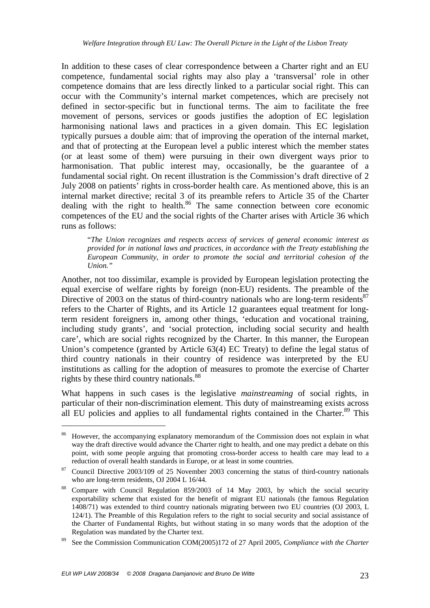In addition to these cases of clear correspondence between a Charter right and an EU competence, fundamental social rights may also play a 'transversal' role in other competence domains that are less directly linked to a particular social right. This can occur with the Community's internal market competences, which are precisely not defined in sector-specific but in functional terms. The aim to facilitate the free movement of persons, services or goods justifies the adoption of EC legislation harmonising national laws and practices in a given domain. This EC legislation typically pursues a double aim: that of improving the operation of the internal market, and that of protecting at the European level a public interest which the member states (or at least some of them) were pursuing in their own divergent ways prior to harmonisation. That public interest may, occasionally, be the guarantee of a fundamental social right. On recent illustration is the Commission's draft directive of 2 July 2008 on patients' rights in cross-border health care. As mentioned above, this is an internal market directive; recital 3 of its preamble refers to Article 35 of the Charter dealing with the right to health.<sup>86</sup> The same connection between core economic competences of the EU and the social rights of the Charter arises with Article 36 which runs as follows:

"*The Union recognizes and respects access of services of general economic interest as provided for in national laws and practices, in accordance with the Treaty establishing the European Community, in order to promote the social and territorial cohesion of the Union."*

Another, not too dissimilar, example is provided by European legislation protecting the equal exercise of welfare rights by foreign (non-EU) residents. The preamble of the Directive of 2003 on the status of third-country nationals who are long-term residents<sup>87</sup> refers to the Charter of Rights, and its Article 12 guarantees equal treatment for longterm resident foreigners in, among other things, 'education and vocational training, including study grants', and 'social protection, including social security and health care', which are social rights recognized by the Charter. In this manner, the European Union's competence (granted by Article 63(4) EC Treaty) to define the legal status of third country nationals in their country of residence was interpreted by the EU institutions as calling for the adoption of measures to promote the exercise of Charter rights by these third country nationals.<sup>88</sup>

What happens in such cases is the legislative *mainstreaming* of social rights, in particular of their non-discrimination element. This duty of mainstreaming exists across all EU policies and applies to all fundamental rights contained in the Charter.<sup>89</sup> This

<sup>&</sup>lt;sup>86</sup> However, the accompanying explanatory memorandum of the Commission does not explain in what way the draft directive would advance the Charter right to health, and one may predict a debate on this point, with some people arguing that promoting cross-border access to health care may lead to a reduction of overall health standards in Europe, or at least in some countries.

 $87$  Council Directive 2003/109 of 25 November 2003 concerning the status of third-country nationals who are long-term residents, OJ 2004 L 16/44.

<sup>&</sup>lt;sup>88</sup> Compare with Council Regulation 859/2003 of 14 May 2003, by which the social security exportability scheme that existed for the benefit of migrant EU nationals (the famous Regulation 1408/71) was extended to third country nationals migrating between two EU countries (OJ 2003, L 124/1). The Preamble of this Regulation refers to the right to social security and social assistance of the Charter of Fundamental Rights, but without stating in so many words that the adoption of the Regulation was mandated by the Charter text.

<sup>89</sup> See the Commission Communication COM(2005)172 of 27 April 2005, *Compliance with the Charter*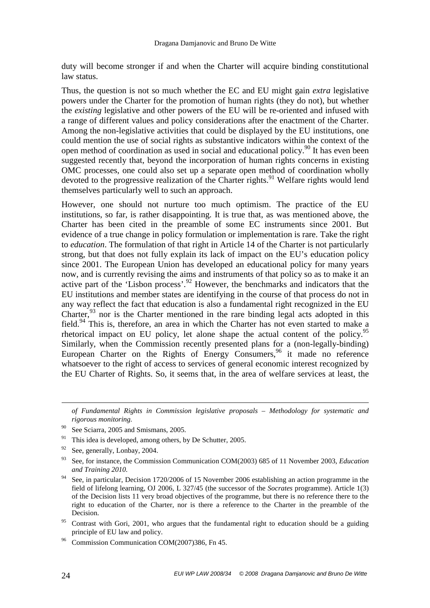duty will become stronger if and when the Charter will acquire binding constitutional law status.

Thus, the question is not so much whether the EC and EU might gain *extra* legislative powers under the Charter for the promotion of human rights (they do not), but whether the *existing* legislative and other powers of the EU will be re-oriented and infused with a range of different values and policy considerations after the enactment of the Charter. Among the non-legislative activities that could be displayed by the EU institutions, one could mention the use of social rights as substantive indicators within the context of the open method of coordination as used in social and educational policy.<sup>90</sup> It has even been suggested recently that, beyond the incorporation of human rights concerns in existing OMC processes, one could also set up a separate open method of coordination wholly devoted to the progressive realization of the Charter rights.<sup>91</sup> Welfare rights would lend themselves particularly well to such an approach.

However, one should not nurture too much optimism. The practice of the EU institutions, so far, is rather disappointing. It is true that, as was mentioned above, the Charter has been cited in the preamble of some EC instruments since 2001. But evidence of a true change in policy formulation or implementation is rare. Take the right to *education*. The formulation of that right in Article 14 of the Charter is not particularly strong, but that does not fully explain its lack of impact on the EU's education policy since 2001. The European Union has developed an educational policy for many years now, and is currently revising the aims and instruments of that policy so as to make it an active part of the 'Lisbon process'.<sup>92</sup> However, the benchmarks and indicators that the EU institutions and member states are identifying in the course of that process do not in any way reflect the fact that education is also a fundamental right recognized in the EU Charter,  $93$  nor is the Charter mentioned in the rare binding legal acts adopted in this field.<sup>94</sup> This is, therefore, an area in which the Charter has not even started to make a rhetorical impact on EU policy, let alone shape the actual content of the policy.<sup>95</sup> Similarly, when the Commission recently presented plans for a (non-legally-binding) European Charter on the Rights of Energy Consumers,  $96$  it made no reference whatsoever to the right of access to services of general economic interest recognized by the EU Charter of Rights. So, it seems that, in the area of welfare services at least, the

<sup>95</sup> Contrast with Gori, 2001, who argues that the fundamental right to education should be a guiding principle of EU law and policy.

<u>.</u>

*of Fundamental Rights in Commission legislative proposals – Methodology for systematic and rigorous monitoring.* 

<sup>&</sup>lt;sup>90</sup> See Sciarra, 2005 and Smismans, 2005.

<sup>91</sup> This idea is developed, among others, by De Schutter, 2005.

 $92$  See, generally, Lonbay, 2004.

<sup>93</sup> See, for instance, the Commission Communication COM(2003) 685 of 11 November 2003, *Education and Training 2010.* 

<sup>&</sup>lt;sup>94</sup> See, in particular, Decision 1720/2006 of 15 November 2006 establishing an action programme in the field of lifelong learning, OJ 2006, L 327/45 (the successor of the *Socrates* programme). Article 1(3) of the Decision lists 11 very broad objectives of the programme, but there is no reference there to the right to education of the Charter, nor is there a reference to the Charter in the preamble of the Decision.

<sup>96</sup> Commission Communication COM(2007)386, Fn 45.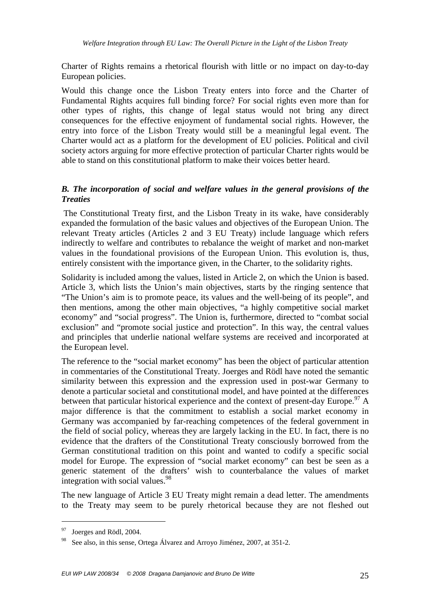Charter of Rights remains a rhetorical flourish with little or no impact on day-to-day European policies.

Would this change once the Lisbon Treaty enters into force and the Charter of Fundamental Rights acquires full binding force? For social rights even more than for other types of rights, this change of legal status would not bring any direct consequences for the effective enjoyment of fundamental social rights. However, the entry into force of the Lisbon Treaty would still be a meaningful legal event. The Charter would act as a platform for the development of EU policies. Political and civil society actors arguing for more effective protection of particular Charter rights would be able to stand on this constitutional platform to make their voices better heard.

# *B. The incorporation of social and welfare values in the general provisions of the Treaties*

 The Constitutional Treaty first, and the Lisbon Treaty in its wake, have considerably expanded the formulation of the basic values and objectives of the European Union. The relevant Treaty articles (Articles 2 and 3 EU Treaty) include language which refers indirectly to welfare and contributes to rebalance the weight of market and non-market values in the foundational provisions of the European Union. This evolution is, thus, entirely consistent with the importance given, in the Charter, to the solidarity rights.

Solidarity is included among the values, listed in Article 2, on which the Union is based. Article 3, which lists the Union's main objectives, starts by the ringing sentence that "The Union's aim is to promote peace, its values and the well-being of its people", and then mentions, among the other main objectives, "a highly competitive social market economy" and "social progress". The Union is, furthermore, directed to "combat social exclusion" and "promote social justice and protection". In this way, the central values and principles that underlie national welfare systems are received and incorporated at the European level.

The reference to the "social market economy" has been the object of particular attention in commentaries of the Constitutional Treaty. Joerges and Rödl have noted the semantic similarity between this expression and the expression used in post-war Germany to denote a particular societal and constitutional model, and have pointed at the differences between that particular historical experience and the context of present-day Europe.<sup>97</sup> A major difference is that the commitment to establish a social market economy in Germany was accompanied by far-reaching competences of the federal government in the field of social policy, whereas they are largely lacking in the EU. In fact, there is no evidence that the drafters of the Constitutional Treaty consciously borrowed from the German constitutional tradition on this point and wanted to codify a specific social model for Europe. The expression of "social market economy" can best be seen as a generic statement of the drafters' wish to counterbalance the values of market integration with social values.<sup>98</sup>

The new language of Article 3 EU Treaty might remain a dead letter. The amendments to the Treaty may seem to be purely rhetorical because they are not fleshed out

<sup>97</sup> Joerges and Rödl, 2004.

See also, in this sense, Ortega Álvarez and Arroyo Jiménez, 2007, at 351-2.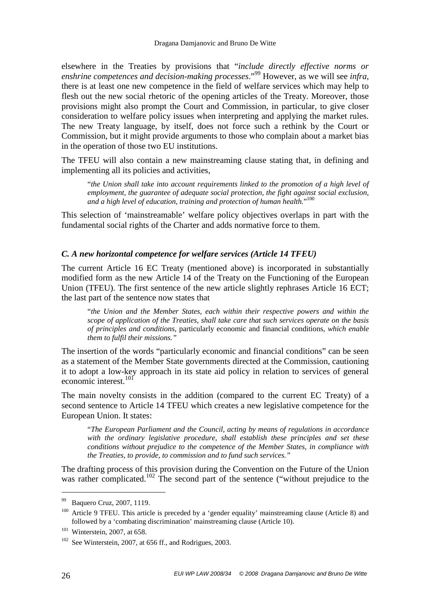elsewhere in the Treaties by provisions that "*include directly effective norms or enshrine competences and decision-making processes*."<sup>99</sup> However, as we will see *infra,*  there is at least one new competence in the field of welfare services which may help to flesh out the new social rhetoric of the opening articles of the Treaty. Moreover, those provisions might also prompt the Court and Commission, in particular, to give closer consideration to welfare policy issues when interpreting and applying the market rules. The new Treaty language, by itself, does not force such a rethink by the Court or Commission, but it might provide arguments to those who complain about a market bias in the operation of those two EU institutions.

The TFEU will also contain a new mainstreaming clause stating that, in defining and implementing all its policies and activities,

"*the Union shall take into account requirements linked to the promotion of a high level of employment, the guarantee of adequate social protection, the fight against social exclusion, and a high level of education, training and protection of human health.*" 100

This selection of 'mainstreamable' welfare policy objectives overlaps in part with the fundamental social rights of the Charter and adds normative force to them.

#### *C. A new horizontal competence for welfare services (Article 14 TFEU)*

The current Article 16 EC Treaty (mentioned above) is incorporated in substantially modified form as the new Article 14 of the Treaty on the Functioning of the European Union (TFEU). The first sentence of the new article slightly rephrases Article 16 ECT; the last part of the sentence now states that

"*the Union and the Member States, each within their respective powers and within the scope of application of the Treaties, shall take care that such services operate on the basis of principles and conditions,* particularly economic and financial conditions*, which enable them to fulfil their missions."* 

The insertion of the words "particularly economic and financial conditions" can be seen as a statement of the Member State governments directed at the Commission, cautioning it to adopt a low-key approach in its state aid policy in relation to services of general economic interest.<sup>101</sup>

The main novelty consists in the addition (compared to the current EC Treaty) of a second sentence to Article 14 TFEU which creates a new legislative competence for the European Union. It states:

"*The European Parliament and the Council, acting by means of regulations in accordance with the ordinary legislative procedure, shall establish these principles and set these conditions without prejudice to the competence of the Member States, in compliance with the Treaties, to provide, to commission and to fund such services."* 

The drafting process of this provision during the Convention on the Future of the Union was rather complicated.<sup>102</sup> The second part of the sentence ("without prejudice to the

<sup>99</sup> Baquero Cruz, 2007, 1119.

<sup>&</sup>lt;sup>100</sup> Article 9 TFEU. This article is preceded by a 'gender equality' mainstreaming clause (Article 8) and followed by a 'combating discrimination' mainstreaming clause (Article 10).

<sup>101</sup> Winterstein, 2007, at 658.

<sup>&</sup>lt;sup>102</sup> See Winterstein, 2007, at 656 ff., and Rodrigues, 2003.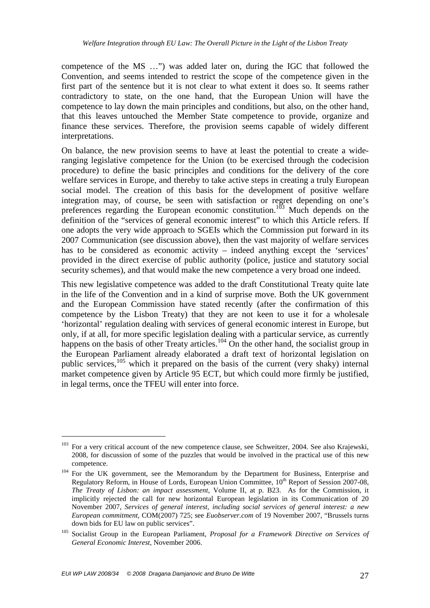competence of the MS …") was added later on, during the IGC that followed the Convention, and seems intended to restrict the scope of the competence given in the first part of the sentence but it is not clear to what extent it does so. It seems rather contradictory to state, on the one hand, that the European Union will have the competence to lay down the main principles and conditions, but also, on the other hand, that this leaves untouched the Member State competence to provide, organize and finance these services. Therefore, the provision seems capable of widely different interpretations.

On balance, the new provision seems to have at least the potential to create a wideranging legislative competence for the Union (to be exercised through the codecision procedure) to define the basic principles and conditions for the delivery of the core welfare services in Europe, and thereby to take active steps in creating a truly European social model. The creation of this basis for the development of positive welfare integration may, of course, be seen with satisfaction or regret depending on one's preferences regarding the European economic constitution.<sup>103</sup> Much depends on the definition of the "services of general economic interest" to which this Article refers. If one adopts the very wide approach to SGEIs which the Commission put forward in its 2007 Communication (see discussion above), then the vast majority of welfare services has to be considered as economic activity – indeed anything except the 'services' provided in the direct exercise of public authority (police, justice and statutory social security schemes), and that would make the new competence a very broad one indeed.

This new legislative competence was added to the draft Constitutional Treaty quite late in the life of the Convention and in a kind of surprise move. Both the UK government and the European Commission have stated recently (after the confirmation of this competence by the Lisbon Treaty) that they are not keen to use it for a wholesale 'horizontal' regulation dealing with services of general economic interest in Europe, but only, if at all, for more specific legislation dealing with a particular service, as currently happens on the basis of other Treaty articles.<sup>104</sup> On the other hand, the socialist group in the European Parliament already elaborated a draft text of horizontal legislation on public services,  $105$  which it prepared on the basis of the current (very shaky) internal market competence given by Article 95 ECT, but which could more firmly be justified, in legal terms, once the TFEU will enter into force.

<sup>&</sup>lt;sup>103</sup> For a very critical account of the new competence clause, see Schweitzer, 2004. See also Krajewski, 2008, for discussion of some of the puzzles that would be involved in the practical use of this new competence.

<sup>&</sup>lt;sup>104</sup> For the UK government, see the Memorandum by the Department for Business, Enterprise and Regulatory Reform, in House of Lords, European Union Committee, 10<sup>th</sup> Report of Session 2007-08, *The Treaty of Lisbon: an impact assessment*, Volume II, at p. B23. As for the Commission, it implicitly rejected the call for new horizontal European legislation in its Communication of 20 November 2007, *Services of general interest, including social services of general interest: a new European commitment*, COM(2007) 725; see *Euobserver.com* of 19 November 2007, "Brussels turns down bids for EU law on public services".

<sup>105</sup> Socialist Group in the European Parliament, *Proposal for a Framework Directive on Services of General Economic Interest*, November 2006.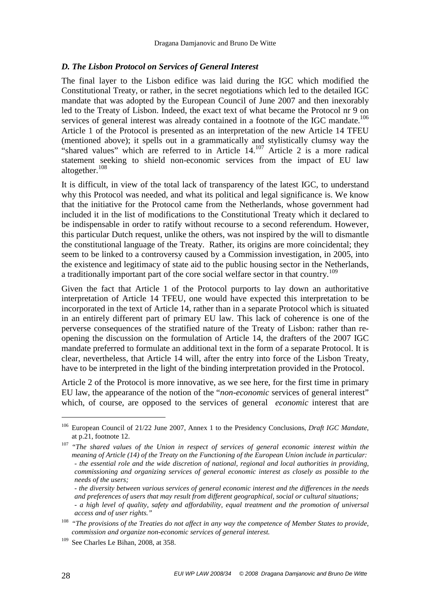#### *D. The Lisbon Protocol on Services of General Interest*

The final layer to the Lisbon edifice was laid during the IGC which modified the Constitutional Treaty, or rather, in the secret negotiations which led to the detailed IGC mandate that was adopted by the European Council of June 2007 and then inexorably led to the Treaty of Lisbon. Indeed, the exact text of what became the Protocol nr 9 on services of general interest was already contained in a footnote of the IGC mandate.<sup>106</sup> Article 1 of the Protocol is presented as an interpretation of the new Article 14 TFEU (mentioned above); it spells out in a grammatically and stylistically clumsy way the "shared values" which are referred to in Article 14.<sup>107</sup> Article 2 is a more radical statement seeking to shield non-economic services from the impact of EU law altogether.<sup>108</sup>

It is difficult, in view of the total lack of transparency of the latest IGC, to understand why this Protocol was needed, and what its political and legal significance is. We know that the initiative for the Protocol came from the Netherlands, whose government had included it in the list of modifications to the Constitutional Treaty which it declared to be indispensable in order to ratify without recourse to a second referendum. However, this particular Dutch request, unlike the others, was not inspired by the will to dismantle the constitutional language of the Treaty. Rather, its origins are more coincidental; they seem to be linked to a controversy caused by a Commission investigation, in 2005, into the existence and legitimacy of state aid to the public housing sector in the Netherlands, a traditionally important part of the core social welfare sector in that country.<sup>109</sup>

Given the fact that Article 1 of the Protocol purports to lay down an authoritative interpretation of Article 14 TFEU, one would have expected this interpretation to be incorporated in the text of Article 14, rather than in a separate Protocol which is situated in an entirely different part of primary EU law. This lack of coherence is one of the perverse consequences of the stratified nature of the Treaty of Lisbon: rather than reopening the discussion on the formulation of Article 14, the drafters of the 2007 IGC mandate preferred to formulate an additional text in the form of a separate Protocol. It is clear, nevertheless, that Article 14 will, after the entry into force of the Lisbon Treaty, have to be interpreted in the light of the binding interpretation provided in the Protocol.

Article 2 of the Protocol is more innovative, as we see here, for the first time in primary EU law, the appearance of the notion of the "*non*-*economic* services of general interest" which, of course, are opposed to the services of general *economic* interest that are

<sup>106</sup> European Council of 21/22 June 2007, Annex 1 to the Presidency Conclusions, *Draft IGC Mandate*, at p.21, footnote 12.

<sup>&</sup>lt;sup>107</sup> "The shared values of the Union in respect of services of general economic interest within the *meaning of Article (14) of the Treaty on the Functioning of the European Union include in particular: - the essential role and the wide discretion of national, regional and local authorities in providing, commissioning and organizing services of general economic interest as closely as possible to the needs of the users;* 

*<sup>-</sup> the diversity between various services of general economic interest and the differences in the needs and preferences of users that may result from different geographical, social or cultural situations; - a high level of quality, safety and affordability, equal treatment and the promotion of universal access and of user rights."* 

<sup>&</sup>lt;sup>108</sup> "The provisions of the Treaties do not affect in any way the competence of Member States to provide, *commission and organize non-economic services of general interest.* 

<sup>109</sup> See Charles Le Bihan, 2008, at 358.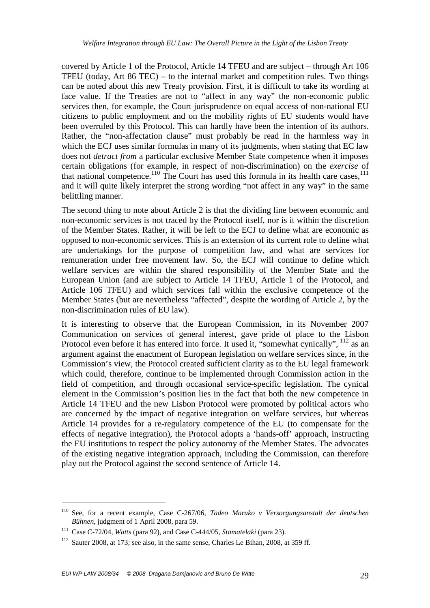covered by Article 1 of the Protocol, Article 14 TFEU and are subject – through Art 106 TFEU (today, Art 86 TEC) – to the internal market and competition rules. Two things can be noted about this new Treaty provision. First, it is difficult to take its wording at face value. If the Treaties are not to "affect in any way" the non-economic public services then, for example, the Court jurisprudence on equal access of non-national EU citizens to public employment and on the mobility rights of EU students would have been overruled by this Protocol. This can hardly have been the intention of its authors. Rather, the "non-affectation clause" must probably be read in the harmless way in which the ECJ uses similar formulas in many of its judgments, when stating that EC law does not *detract from* a particular exclusive Member State competence when it imposes certain obligations (for example, in respect of non-discrimination) on the *exercise* of that national competence.<sup>110</sup> The Court has used this formula in its health care cases,<sup>111</sup> and it will quite likely interpret the strong wording "not affect in any way" in the same belittling manner.

The second thing to note about Article 2 is that the dividing line between economic and non-economic services is not traced by the Protocol itself, nor is it within the discretion of the Member States. Rather, it will be left to the ECJ to define what are economic as opposed to non-economic services. This is an extension of its current role to define what are undertakings for the purpose of competition law, and what are services for remuneration under free movement law. So, the ECJ will continue to define which welfare services are within the shared responsibility of the Member State and the European Union (and are subject to Article 14 TFEU, Article 1 of the Protocol, and Article 106 TFEU) and which services fall within the exclusive competence of the Member States (but are nevertheless "affected", despite the wording of Article 2, by the non-discrimination rules of EU law).

It is interesting to observe that the European Commission, in its November 2007 Communication on services of general interest, gave pride of place to the Lisbon Protocol even before it has entered into force. It used it, "somewhat cynically", <sup>112</sup> as an argument against the enactment of European legislation on welfare services since, in the Commission's view, the Protocol created sufficient clarity as to the EU legal framework which could, therefore, continue to be implemented through Commission action in the field of competition, and through occasional service-specific legislation. The cynical element in the Commission's position lies in the fact that both the new competence in Article 14 TFEU and the new Lisbon Protocol were promoted by political actors who are concerned by the impact of negative integration on welfare services, but whereas Article 14 provides for a re-regulatory competence of the EU (to compensate for the effects of negative integration), the Protocol adopts a 'hands-off' approach, instructing the EU institutions to respect the policy autonomy of the Member States. The advocates of the existing negative integration approach, including the Commission, can therefore play out the Protocol against the second sentence of Article 14.

<sup>110</sup> See, for a recent example, Case C-267/06, *Tadeo Maruko v Versorgungsanstalt der deutschen Bühnen*, judgment of 1 April 2008, para 59.

<sup>111</sup> Case C-72/04, *Watts* (para 92), and Case C-444/05, *Stamatelaki* (para 23).

 $112$  Sauter 2008, at 173; see also, in the same sense, Charles Le Bihan, 2008, at 359 ff.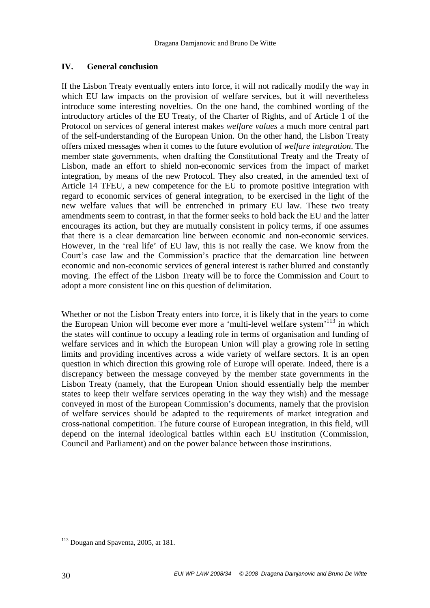# **IV. General conclusion**

If the Lisbon Treaty eventually enters into force, it will not radically modify the way in which EU law impacts on the provision of welfare services, but it will nevertheless introduce some interesting novelties. On the one hand, the combined wording of the introductory articles of the EU Treaty, of the Charter of Rights, and of Article 1 of the Protocol on services of general interest makes *welfare values* a much more central part of the self-understanding of the European Union. On the other hand, the Lisbon Treaty offers mixed messages when it comes to the future evolution of *welfare integration*. The member state governments, when drafting the Constitutional Treaty and the Treaty of Lisbon, made an effort to shield non-economic services from the impact of market integration, by means of the new Protocol. They also created, in the amended text of Article 14 TFEU, a new competence for the EU to promote positive integration with regard to economic services of general integration, to be exercised in the light of the new welfare values that will be entrenched in primary EU law. These two treaty amendments seem to contrast, in that the former seeks to hold back the EU and the latter encourages its action, but they are mutually consistent in policy terms, if one assumes that there is a clear demarcation line between economic and non-economic services. However, in the 'real life' of EU law, this is not really the case. We know from the Court's case law and the Commission's practice that the demarcation line between economic and non-economic services of general interest is rather blurred and constantly moving. The effect of the Lisbon Treaty will be to force the Commission and Court to adopt a more consistent line on this question of delimitation.

Whether or not the Lisbon Treaty enters into force, it is likely that in the years to come the European Union will become ever more a 'multi-level welfare system'<sup>113</sup> in which the states will continue to occupy a leading role in terms of organisation and funding of welfare services and in which the European Union will play a growing role in setting limits and providing incentives across a wide variety of welfare sectors. It is an open question in which direction this growing role of Europe will operate. Indeed, there is a discrepancy between the message conveyed by the member state governments in the Lisbon Treaty (namely, that the European Union should essentially help the member states to keep their welfare services operating in the way they wish) and the message conveyed in most of the European Commission's documents, namely that the provision of welfare services should be adapted to the requirements of market integration and cross-national competition. The future course of European integration, in this field, will depend on the internal ideological battles within each EU institution (Commission, Council and Parliament) and on the power balance between those institutions.

<sup>&</sup>lt;sup>113</sup> Dougan and Spaventa, 2005, at 181.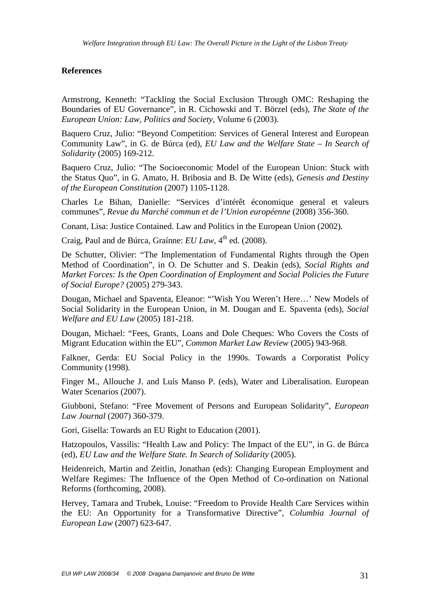#### **References**

Armstrong, Kenneth: "Tackling the Social Exclusion Through OMC: Reshaping the Boundaries of EU Governance", in R. Cichowski and T. Börzel (eds), *The State of the European Union: Law, Politics and Society*, Volume 6 (2003).

Baquero Cruz, Julio: "Beyond Competition: Services of General Interest and European Community Law", in G. de Búrca (ed), *EU Law and the Welfare State – In Search of Solidarity* (2005) 169-212.

Baquero Cruz, Julio: "The Socioeconomic Model of the European Union: Stuck with the Status Quo", in G. Amato, H. Bribosia and B. De Witte (eds), *Genesis and Destiny of the European Constitution* (2007) 1105-1128.

Charles Le Bihan, Danielle: "Services d'intérêt économique general et valeurs communes", *Revue du Marché commun et de l'Union européenne* (2008) 356-360.

Conant, Lisa: Justice Contained. Law and Politics in the European Union (2002).

Craig, Paul and de Búrca, Graínne: *EU Law*, 4<sup>th</sup> ed. (2008).

De Schutter, Olivier: "The Implementation of Fundamental Rights through the Open Method of Coordination", in O. De Schutter and S. Deakin (eds), *Social Rights and Market Forces: Is the Open Coordination of Employment and Social Policies the Future of Social Europe?* (2005) 279-343.

Dougan, Michael and Spaventa, Eleanor: "'Wish You Weren't Here…' New Models of Social Solidarity in the European Union, in M. Dougan and E. Spaventa (eds), *Social Welfare and EU Law* (2005) 181-218.

Dougan, Michael: "Fees, Grants, Loans and Dole Cheques: Who Covers the Costs of Migrant Education within the EU", *Common Market Law Review* (2005) 943-968.

Falkner, Gerda: EU Social Policy in the 1990s. Towards a Corporatist Policy Community (1998).

Finger M., Allouche J. and Luís Manso P. (eds), Water and Liberalisation. European Water Scenarios (2007).

Giubboni, Stefano: "Free Movement of Persons and European Solidarity", *European Law Journal* (2007) 360-379.

Gori, Gisella: Towards an EU Right to Education (2001).

Hatzopoulos, Vassilis: "Health Law and Policy: The Impact of the EU", in G. de Búrca (ed), *EU Law and the Welfare State. In Search of Solidarity* (2005).

Heidenreich, Martin and Zeitlin, Jonathan (eds): Changing European Employment and Welfare Regimes: The Influence of the Open Method of Co-ordination on National Reforms (forthcoming, 2008).

Hervey, Tamara and Trubek, Louise: "Freedom to Provide Health Care Services within the EU: An Opportunity for a Transformative Directive", *Columbia Journal of European Law* (2007) 623-647.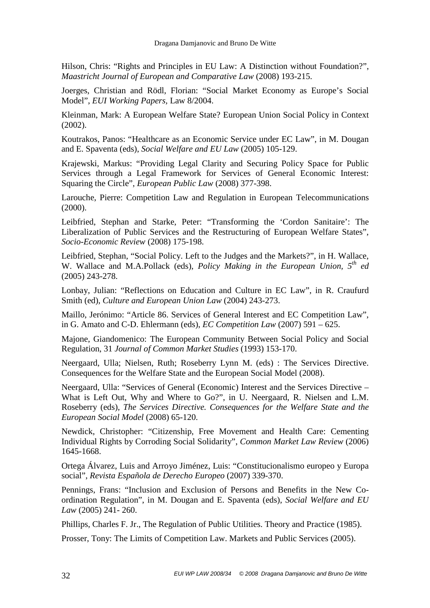Hilson, Chris: "Rights and Principles in EU Law: A Distinction without Foundation?", *Maastricht Journal of European and Comparative Law* (2008) 193-215.

Joerges, Christian and Rödl, Florian: "Social Market Economy as Europe's Social Model", *EUI Working Papers,* Law 8/2004.

Kleinman, Mark: A European Welfare State? European Union Social Policy in Context (2002).

Koutrakos, Panos: "Healthcare as an Economic Service under EC Law", in M. Dougan and E. Spaventa (eds), *Social Welfare and EU Law* (2005) 105-129.

Krajewski, Markus: "Providing Legal Clarity and Securing Policy Space for Public Services through a Legal Framework for Services of General Economic Interest: Squaring the Circle", *European Public Law* (2008) 377-398.

Larouche, Pierre: Competition Law and Regulation in European Telecommunications (2000).

Leibfried, Stephan and Starke, Peter: "Transforming the 'Cordon Sanitaire': The Liberalization of Public Services and the Restructuring of European Welfare States", *Socio-Economic Review* (2008) 175-198.

Leibfried, Stephan, "Social Policy. Left to the Judges and the Markets?", in H. Wallace, W. Wallace and M.A.Pollack (eds), *Policy Making in the European Union, 5th ed*  (2005) 243-278.

Lonbay, Julian: "Reflections on Education and Culture in EC Law", in R. Craufurd Smith (ed), *Culture and European Union Law* (2004) 243-273.

Maillo, Jerónimo: "Article 86. Services of General Interest and EC Competition Law", in G. Amato and C-D. Ehlermann (eds), *EC Competition Law* (2007) 591 – 625.

Majone, Giandomenico: The European Community Between Social Policy and Social Regulation, 31 *Journal of Common Market Studies* (1993) 153-170.

Neergaard, Ulla; Nielsen, Ruth; Roseberry Lynn M. (eds) : The Services Directive. Consequences for the Welfare State and the European Social Model (2008).

Neergaard, Ulla: "Services of General (Economic) Interest and the Services Directive – What is Left Out, Why and Where to Go?", in U. Neergaard, R. Nielsen and L.M. Roseberry (eds), *The Services Directive. Consequences for the Welfare State and the European Social Model* (2008) 65-120.

Newdick, Christopher: "Citizenship, Free Movement and Health Care: Cementing Individual Rights by Corroding Social Solidarity", *Common Market Law Review* (2006) 1645-1668.

Ortega Álvarez, Luis and Arroyo Jiménez, Luis: "Constitucionalismo europeo y Europa social", *Revista Española de Derecho Europeo* (2007) 339-370.

Pennings, Frans: "Inclusion and Exclusion of Persons and Benefits in the New Coordination Regulation", in M. Dougan and E. Spaventa (eds), *Social Welfare and EU Law* (2005) 241- 260.

Phillips, Charles F. Jr., The Regulation of Public Utilities. Theory and Practice (1985).

Prosser, Tony: The Limits of Competition Law. Markets and Public Services (2005).